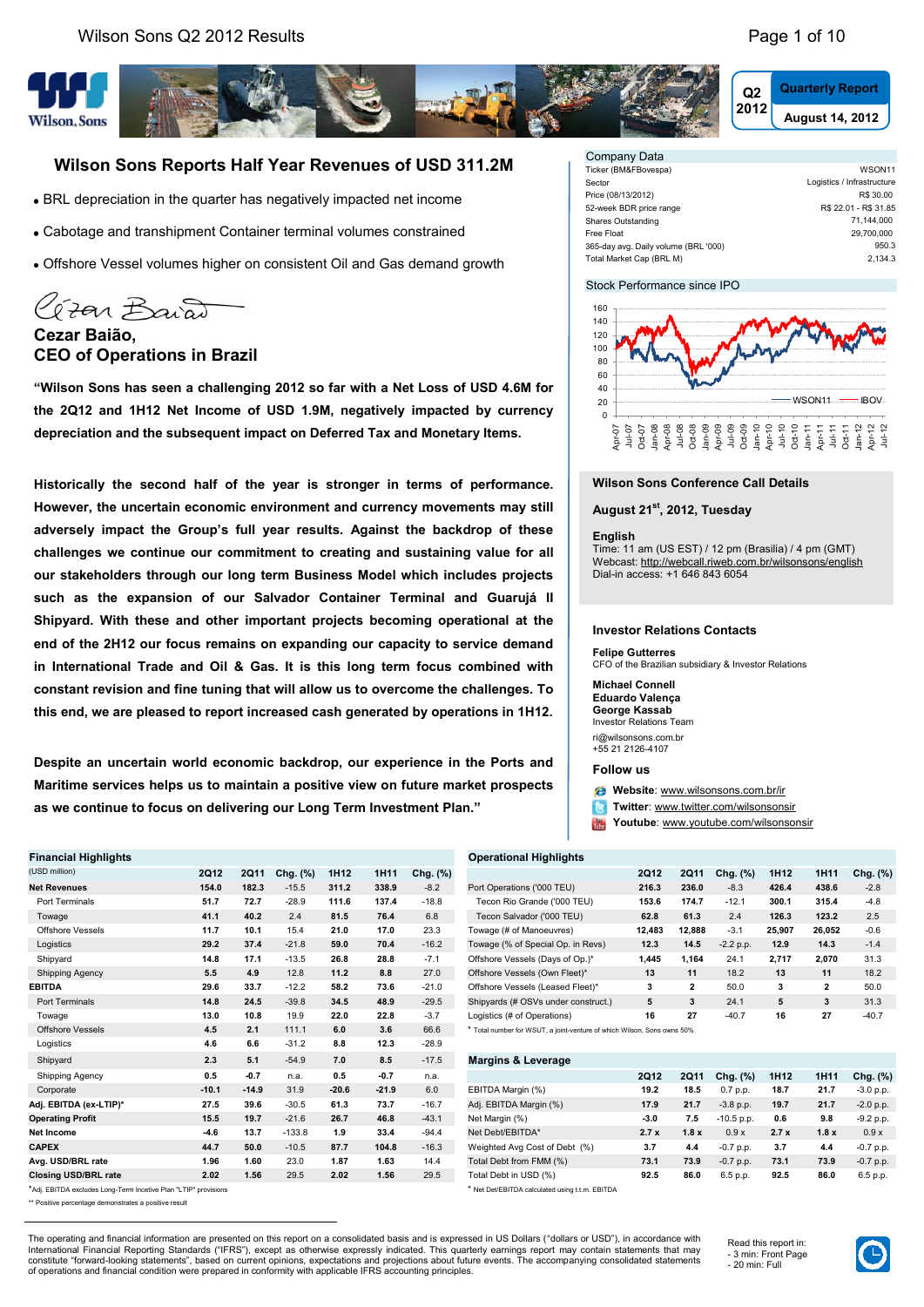**<sup>2012</sup> August 14, 2012 Quarterly Report**



## **Wilson Sons Reports Half Year Revenues of USD 311.2M**

- BRL depreciation in the quarter has negatively impacted net income
- Cabotage and transhipment Container terminal volumes constrained
- Offshore Vessel volumes higher on consistent Oil and Gas demand growth

Gran Baiat **Cezar Baião,**

## **CEO of Operations in Brazil**

**"Wilson Sons has seen a challenging 2012 so far with a Net Loss of USD 4.6M for the 2Q12 and 1H12 Net Income of USD 1.9M, negatively impacted by currency depreciation and the subsequent impact on Deferred Tax and Monetary Items.** 

**Historically the second half of the year is stronger in terms of performance. However, the uncertain economic environment and currency movements may still adversely impact the Group's full year results. Against the backdrop of these challenges we continue our commitment to creating and sustaining value for all our stakeholders through our long term Business Model which includes projects such as the expansion of our Salvador Container Terminal and Guarujá II Shipyard. With these and other important projects becoming operational at the end of the 2H12 our focus remains on expanding our capacity to service demand in International Trade and Oil & Gas. It is this long term focus combined with constant revision and fine tuning that will allow us to overcome the challenges. To this end, we are pleased to report increased cash generated by operations in 1H12.**

**Despite an uncertain world economic backdrop, our experience in the Ports and Maritime services helps us to maintain a positive view on future market prospects as we continue to focus on delivering our Long Term Investment Plan."**

| <b>Financial Highlights</b>                                     |             |             |          |                  |         |          | <b>Operational Highlights</b>                                           |             |              |              |                  |              |           |
|-----------------------------------------------------------------|-------------|-------------|----------|------------------|---------|----------|-------------------------------------------------------------------------|-------------|--------------|--------------|------------------|--------------|-----------|
| (USD million)                                                   | <b>2Q12</b> | <b>2Q11</b> | Chg. (%) | 1H <sub>12</sub> | 1H11    | Chg. (%) |                                                                         | 2012        | <b>2Q11</b>  | Chg. (%)     | 1H <sub>12</sub> | 1H11         | Chg. ('   |
| <b>Net Revenues</b>                                             | 154.0       | 182.3       | $-15.5$  | 311.2            | 338.9   | $-8.2$   | Port Operations ('000 TEU)                                              | 216.3       | 236.0        | $-8.3$       | 426.4            | 438.6        | $-2.8$    |
| Port Terminals                                                  | 51.7        | 72.7        | $-28.9$  | 111.6            | 137.4   | $-18.8$  | Tecon Rio Grande ('000 TEU)                                             | 153.6       | 174.7        | $-12.1$      | 300.1            | 315.4        | $-4.8$    |
| Towage                                                          | 41.1        | 40.2        | 2.4      | 81.5             | 76.4    | 6.8      | Tecon Salvador ('000 TEU)                                               | 62.8        | 61.3         | 2.4          | 126.3            | 123.2        | 2.5       |
| <b>Offshore Vessels</b>                                         | 11.7        | 10.1        | 15.4     | 21.0             | 17.0    | 23.3     | Towage (# of Manoeuvres)                                                | 12,483      | 12,888       | $-3.1$       | 25,907           | 26,052       | $-0.6$    |
| Logistics                                                       | 29.2        | 37.4        | $-21.8$  | 59.0             | 70.4    | $-16.2$  | Towage (% of Special Op. in Revs)                                       | 12.3        | 14.5         | $-2.2 p.p.$  | 12.9             | 14.3         | $-1.4$    |
| Shipyard                                                        | 14.8        | 17.1        | $-13.5$  | 26.8             | 28.8    | $-7.1$   | Offshore Vessels (Days of Op.)*                                         | 1,445       | 1,164        | 24.1         | 2,717            | 2,070        | 31.3      |
| Shipping Agency                                                 | 5.5         | 4.9         | 12.8     | 11.2             | 8.8     | 27.0     | Offshore Vessels (Own Fleet)*                                           | 13          | 11           | 18.2         | 13               | 11           | 18.2      |
| <b>EBITDA</b>                                                   | 29.6        | 33.7        | $-12.2$  | 58.2             | 73.6    | $-21.0$  | Offshore Vessels (Leased Fleet)*                                        | 3           | $\mathbf{2}$ | 50.0         | 3                | $\mathbf{2}$ | 50.0      |
| <b>Port Terminals</b>                                           | 14.8        | 24.5        | $-39.8$  | 34.5             | 48.9    | $-29.5$  | Shipyards (# OSVs under construct.)                                     | 5           | 3            | 24.1         | 5                | 3            | 31.3      |
| Towage                                                          | 13.0        | 10.8        | 19.9     | 22.0             | 22.8    | $-3.7$   | Logistics (# of Operations)                                             | 16          | 27           | $-40.7$      | 16               | 27           | $-40.7$   |
| <b>Offshore Vessels</b>                                         | 4.5         | 2.1         | 111.1    | 6.0              | 3.6     | 66.6     | * Total number for WSUT, a joint-venture of which Wilson, Sons owns 50% |             |              |              |                  |              |           |
| Logistics                                                       | 4.6         | 6.6         | $-31.2$  | 8.8              | 12.3    | $-28.9$  |                                                                         |             |              |              |                  |              |           |
| Shipyard                                                        | 2.3         | 5.1         | $-54.9$  | 7.0              | 8.5     | $-17.5$  | <b>Margins &amp; Leverage</b>                                           |             |              |              |                  |              |           |
| Shipping Agency                                                 | 0.5         | $-0.7$      | n.a.     | 0.5              | $-0.7$  | n.a.     |                                                                         | <b>2Q12</b> | <b>2Q11</b>  | Chg. (%)     | 1H <sub>12</sub> | 1H11         | Chg. ('   |
| Corporate                                                       | $-10.1$     | $-14.9$     | 31.9     | $-20.6$          | $-21.9$ | 6.0      | EBITDA Margin (%)                                                       | 19.2        | 18.5         | 0.7 p.p.     | 18.7             | 21.7         | $-3.0 p.$ |
| Adj. EBITDA (ex-LTIP)*                                          | 27.5        | 39.6        | $-30.5$  | 61.3             | 73.7    | $-16.7$  | Adj. EBITDA Margin (%)                                                  | 17.9        | 21.7         | $-3.8$ p.p.  | 19.7             | 21.7         | $-2.0 p.$ |
| <b>Operating Profit</b>                                         | 15.5        | 19.7        | $-21.6$  | 26.7             | 46.8    | $-43.1$  | Net Margin (%)                                                          | $-3.0$      | 7.5          | $-10.5$ p.p. | 0.6              | 9.8          | $-9.2 p.$ |
| Net Income                                                      | $-4.6$      | 13.7        | $-133.8$ | 1.9              | 33.4    | $-94.4$  | Net Debt/EBITDA*                                                        | 2.7x        | 1.8x         | 0.9x         | 2.7x             | 1.8x         | 0.9x      |
| <b>CAPEX</b>                                                    | 44.7        | 50.0        | $-10.5$  | 87.7             | 104.8   | $-16.3$  | Weighted Avg Cost of Debt (%)                                           | 3.7         | 4.4          | $-0.7 p.p.$  | 3.7              | 4.4          | $-0.7 p.$ |
| Avg. USD/BRL rate                                               | 1.96        | 1.60        | 23.0     | 1.87             | 1.63    | 14.4     | Total Debt from FMM (%)                                                 | 73.1        | 73.9         | $-0.7 p.p.$  | 73.1             | 73.9         | $-0.7 p.$ |
| <b>Closing USD/BRL rate</b>                                     | 2.02        | 1.56        | 29.5     | 2.02             | 1.56    | 29.5     | Total Debt in USD (%)                                                   | 92.5        | 86.0         | 6.5 p.p.     | 92.5             | 86.0         | 6.5 p.p   |
| *Adj. EBITDA excludes Long-Term Incetive Plan "LTIP" provisions |             |             |          |                  |         |          | * Net Det/EBITDA calculated using t.t.m. EBITDA                         |             |              |              |                  |              |           |

\*\* Positive percentage demonstrates a positive result

| Company Data                         |                            |
|--------------------------------------|----------------------------|
| Ticker (BM&FBovespa)                 | WSON <sub>11</sub>         |
| Sector                               | Logistics / Infrastructure |
| Price (08/13/2012)                   | R\$ 30.00                  |
| 52-week BDR price range              | R\$ 22.01 - R\$ 31.85      |
| Shares Outstanding                   | 71,144,000                 |
| Free Float                           | 29.700.000                 |
| 365-day avg. Daily volume (BRL '000) | 950.3                      |
| Total Market Cap (BRL M)             | 2.134.3                    |

#### Stock Performance since IPO



#### **Wilson Sons Conference Call Details**

#### **August 21st, 2012, Tuesday**

#### **English**

Time: 11 am (US EST) / 12 pm (Brasilia) / 4 pm (GMT) Webcast:<http://webcall.riweb.com.br/wilsonsons/english> Dial-in access: +1 646 843 6054

#### **Investor Relations Contacts**

**Felipe Gutterres** CFO of the Brazilian subsidiary & Investor Relations

#### **Michael Connell Eduardo Valença George Kassab**

Investor Relations Team

ri@wilsonsons.com.br +55 21 2126-4107

#### **Follow us**

**Website**: [www.wilsonsons.com.br/ir](http://www.wilsonsons.com.br/ir)

**Twitter**: [www.twitter.com/wilsonsonsir](http://www.twitter.com/wilsonsonsir)

 $Y_0u$ **Youtube**: [www.youtube.com/wilsonsonsir](http://www.youtube.com/wilsonsonsir)

#### **Financial Highlights Operational Highlights**

| (USD million)           | <b>2Q12</b> | 2011  | (%)<br>Chg. | 1H12  | 1H11  | Chg. (%) |                                                                         | <b>2Q12</b> | 2011           | Chg. (%)    | 1H12   | 1H11   | Chg. (%) |
|-------------------------|-------------|-------|-------------|-------|-------|----------|-------------------------------------------------------------------------|-------------|----------------|-------------|--------|--------|----------|
| Net Revenues            | 154.0       | 182.3 | $-15.5$     | 311.2 | 338.9 | $-8.2$   | Port Operations ('000 TEU)                                              | 216.3       | 236.0          | $-8.3$      | 426.4  | 438.6  | $-2.8$   |
| Port Terminals          | 51.7        | 72.7  | $-28.9$     | 111.6 | 137.4 | $-18.8$  | Tecon Rio Grande ('000 TEU)                                             | 153.6       | 174.7          | $-12.1$     | 300.1  | 315.4  | $-4.8$   |
| Towage                  | 41.1        | 40.2  | 2.4         | 81.5  | 76.4  | 6.8      | Tecon Salvador ('000 TEU)                                               | 62.8        | 61.3           | 2.4         | 126.3  | 123.2  | 2.5      |
| Offshore Vessels        | 11.7        | 10.1  | 15.4        | 21.0  | 17.0  | 23.3     | Towage (# of Manoeuvres)                                                | 12.483      | 12.888         | $-3.1$      | 25.907 | 26.052 | $-0.6$   |
| Logistics               | 29.2        | 37.4  | $-21.8$     | 59.0  | 70.4  | $-16.2$  | Towage (% of Special Op. in Revs)                                       | 12.3        | 14.5           | $-2.2 p.p.$ | 12.9   | 14.3   | $-1.4$   |
| Shipyard                | 14.8        | 17.1  | $-13.5$     | 26.8  | 28.8  | $-7.1$   | Offshore Vessels (Days of Op.)*                                         | 1,445       | 1,164          | 24.1        | 2,717  | 2,070  | 31.3     |
| Shipping Agency         | 5.5         | 4.9   | 12.8        | 11.2  | 8.8   | 27.0     | Offshore Vessels (Own Fleet)*                                           | 13          | 11             | 18.2        | 13     | 11     | 18.2     |
| EBITDA                  | 29.6        | 33.7  | $-12.2$     | 58.2  | 73.6  | $-21.0$  | Offshore Vessels (Leased Fleet)*                                        | 3           | $\overline{2}$ | 50.0        | 3      | 2      | 50.0     |
| Port Terminals          | 14.8        | 24.5  | $-39.8$     | 34.5  | 48.9  | $-29.5$  | Shipyards (# OSVs under construct.)                                     | 5           | 3              | 24.1        | 5      | 3      | 31.3     |
| Towage                  | 13.0        | 10.8  | 19.9        | 22.0  | 22.8  | $-3.7$   | Logistics (# of Operations)                                             | 16          | 27             | $-40.7$     | 16     | 27     | $-40.7$  |
| <b>Offshore Vessels</b> | 4.5         | 2.1   | 111.1       | 6.0   | 3.6   | 66.6     | * Total number for WSUT, a joint-venture of which Wilson, Sons owns 50% |             |                |             |        |        |          |
|                         |             |       |             |       |       |          |                                                                         |             |                |             |        |        |          |

| Snipyard                    | د.ء     | D. I    | -04.9    | 7.U     | 8.D     | $-11.5$ | margins & Leverage                                                                                              |        |      |              |      |      |             |
|-----------------------------|---------|---------|----------|---------|---------|---------|-----------------------------------------------------------------------------------------------------------------|--------|------|--------------|------|------|-------------|
| Shipping Agency             | 0.5     | $-0.7$  | n.a.     | 0.5     | $-0.7$  | n.a.    |                                                                                                                 | 2012   | 2011 | Chg. (%)     | 1H12 | 1H11 | Chg. (%)    |
| Corporate                   | $-10.1$ | $-14.9$ | 31.9     | $-20.6$ | $-21.9$ | 6.0     | EBITDA Margin (%)                                                                                               | 19.2   | 18.5 | 0.7 p.p.     | 18.7 | 21.7 | $-3.0 p.p.$ |
| Adj. EBITDA (ex-LTIP)*      | 27.5    | 39.6    | $-30.5$  | 61.3    | 73.7    | $-16.7$ | Adj. EBITDA Margin (%)                                                                                          | 17.9   | 21.7 | $-3.8$ p.p.  | 19.7 | 21.7 | $-2.0 p.p.$ |
| <b>Operating Profit</b>     | 15.5    | 19.7    | $-21.6$  | 26.7    | 46.8    | $-43.1$ | Net Margin (%)                                                                                                  | $-3.0$ | 7.5  | $-10.5$ p.p. | 0.6  | 9.8  | $-9.2 p.p.$ |
| Net Income                  | $-4.6$  | 13.7    | $-133.8$ | 1.9     | 33.4    | $-94.4$ | Net Debt/EBITDA*                                                                                                | 2.7x   | 1.8x | 0.9x         | 2.7x | 1.8x | 0.9x        |
| <b>CAPEX</b>                | 44.7    | 50.0    | $-10.5$  | 87.7    | 104.8   | $-16.3$ | Weighted Avg Cost of Debt (%)                                                                                   | 3.7    | 4.4  | $-0.7$ p.p.  | 3.7  | 4.4  | $-0.7 p.p.$ |
| Avg. USD/BRL rate           | 1.96    | 1.60    | 23.0     | 1.87    | 1.63    | 14.4    | Total Debt from FMM (%)                                                                                         | 73.1   | 73.9 | $-0.7$ p.p.  | 73.1 | 73.9 | $-0.7$ p.p. |
| <b>Closing USD/BRL rate</b> | 2.02    | 1.56    | 29.5     | 2.02    | 1.56    | 29.5    | Total Debt in USD (%)                                                                                           | 92.5   | 86.0 | 6.5 p.p.     | 92.5 | 86.0 | 6.5 p.p.    |
|                             |         |         |          |         |         |         | the contract of the contract of the contract of the contract of the contract of the contract of the contract of |        |      |              |      |      |             |

The operating and financial information are presented on this report on a consolidated basis and is expressed in US Dollars ("dollars or USD"), in accordance with International Financial Reporting Standards ("IFRS"), except as otherwise expressly indicated. This quarterly earnings report may contain statements that may<br>constitute "forward-looking statements", based on current opinio of operations and financial condition were prepared in conformity with applicable IFRS accounting principles.

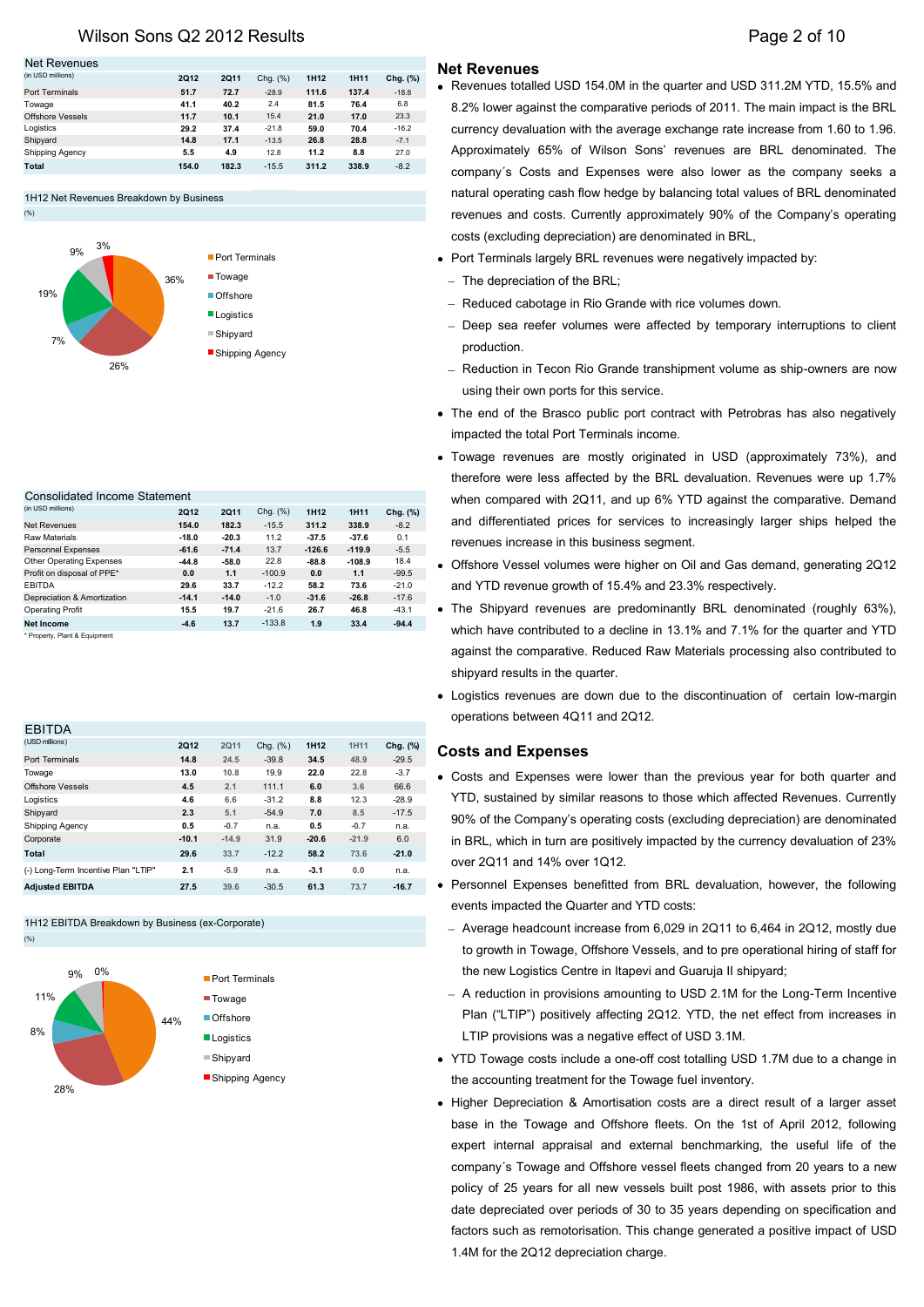## Wilson Sons Q2 2012 Results **Page 2 of 10** Nilson Sons Q2 2012 Results

#### Net Revenues

(%)

| (in USD millions)      | 2012  | 2011  | Chg. (%) | 1H12  | 1H11  | Chg. (%) |
|------------------------|-------|-------|----------|-------|-------|----------|
| Port Terminals         | 51.7  | 72.7  | $-28.9$  | 111.6 | 137.4 | $-18.8$  |
| Towage                 | 41.1  | 40.2  | 2.4      | 81.5  | 76.4  | 6.8      |
| Offshore Vessels       | 11.7  | 10.1  | 15.4     | 21.0  | 17.0  | 23.3     |
| Logistics              | 29.2  | 37.4  | $-21.8$  | 59.0  | 70.4  | $-16.2$  |
| Shipyard               | 14.8  | 17.1  | $-13.5$  | 26.8  | 28.8  | $-7.1$   |
| <b>Shipping Agency</b> | 5.5   | 4.9   | 12.8     | 11.2  | 8.8   | 27.0     |
| Total                  | 154.0 | 182.3 | $-15.5$  | 311.2 | 338.9 | $-8.2$   |
|                        |       |       |          |       |       |          |

#### 1H12 Net Revenues Breakdown by Business



#### Consolidated Income Statement

| (in USD millions)             | 2012    | 2Q11    | Chg. (%) | 1H12     | <b>1H11</b> | Chg. (%) |
|-------------------------------|---------|---------|----------|----------|-------------|----------|
| <b>Net Revenues</b>           | 154.0   | 182.3   | $-15.5$  | 311.2    | 338.9       | $-8.2$   |
| Raw Materials                 | $-18.0$ | $-20.3$ | 11.2     | $-37.5$  | $-37.6$     | 0.1      |
| <b>Personnel Expenses</b>     | $-61.6$ | $-71.4$ | 13.7     | $-126.6$ | $-119.9$    | $-5.5$   |
| Other Operating Expenses      | $-44.8$ | $-58.0$ | 22.8     | $-88.8$  | $-108.9$    | 18.4     |
| Profit on disposal of PPE*    | 0.0     | 1.1     | $-100.9$ | 0.0      | 1.1         | $-99.5$  |
| <b>FBITDA</b>                 | 29.6    | 33.7    | $-12.2$  | 58.2     | 73.6        | $-21.0$  |
| Depreciation & Amortization   | $-14.1$ | $-14.0$ | $-1.0$   | $-31.6$  | $-26.8$     | $-17.6$  |
| <b>Operating Profit</b>       | 15.5    | 19.7    | $-21.6$  | 26.7     | 46.8        | $-43.1$  |
| Net Income                    | $-4.6$  | 13.7    | $-133.8$ | 1.9      | 33.4        | $-94.4$  |
| * Property, Plant & Equipment |         |         |          |          |             |          |

| <b>EBITDA</b>                       |             |         |             |                  |         |          |
|-------------------------------------|-------------|---------|-------------|------------------|---------|----------|
| (USD millions)                      | <b>2Q12</b> | 2Q11    | Chq. $(\%)$ | 1H <sub>12</sub> | 1H11    | Chg. (%) |
| Port Terminals                      | 14.8        | 24.5    | $-39.8$     | 34.5             | 48.9    | $-29.5$  |
| Towage                              | 13.0        | 10.8    | 19.9        | 22.0             | 22.8    | $-3.7$   |
| Offshore Vessels                    | 4.5         | 2.1     | 111.1       | 6.0              | 3.6     | 66.6     |
| Logistics                           | 4.6         | 6.6     | $-31.2$     | 8.8              | 12.3    | $-28.9$  |
| Shipyard                            | 2.3         | 5.1     | $-54.9$     | 7.0              | 8.5     | $-17.5$  |
| Shipping Agency                     | 0.5         | $-0.7$  | n.a.        | 0.5              | $-0.7$  | n.a.     |
| Corporate                           | $-10.1$     | $-14.9$ | 31.9        | $-20.6$          | $-21.9$ | 6.0      |
| Total                               | 29.6        | 33.7    | $-12.2$     | 58.2             | 73.6    | $-21.0$  |
| (-) Long-Term Incentive Plan "LTIP" | 2.1         | $-5.9$  | n.a.        | $-3.1$           | 0.0     | n.a.     |
| <b>Adiusted EBITDA</b>              | 27.5        | 39.6    | $-30.5$     | 61.3             | 73.7    | $-16.7$  |

#### 1H12 EBITDA Breakdown by Business (ex-Corporate)

(%)



## **Net Revenues**

- Revenues totalled USD 154.0M in the quarter and USD 311.2M YTD, 15.5% and 8.2% lower against the comparative periods of 2011. The main impact is the BRL currency devaluation with the average exchange rate increase from 1.60 to 1.96. Approximately 65% of Wilson Sons' revenues are BRL denominated. The company´s Costs and Expenses were also lower as the company seeks a natural operating cash flow hedge by balancing total values of BRL denominated revenues and costs. Currently approximately 90% of the Company's operating costs (excluding depreciation) are denominated in BRL,
- Port Terminals largely BRL revenues were negatively impacted by:
	- $-$  The depreciation of the BRL;
- Reduced cabotage in Rio Grande with rice volumes down.
- Deep sea reefer volumes were affected by temporary interruptions to client production.
- Reduction in Tecon Rio Grande transhipment volume as ship-owners are now using their own ports for this service.
- The end of the Brasco public port contract with Petrobras has also negatively impacted the total Port Terminals income.
- Towage revenues are mostly originated in USD (approximately 73%), and therefore were less affected by the BRL devaluation. Revenues were up 1.7% when compared with 2Q11, and up 6% YTD against the comparative. Demand and differentiated prices for services to increasingly larger ships helped the revenues increase in this business segment.
- Offshore Vessel volumes were higher on Oil and Gas demand, generating 2Q12 and YTD revenue growth of 15.4% and 23.3% respectively.
- The Shipyard revenues are predominantly BRL denominated (roughly 63%), which have contributed to a decline in 13.1% and 7.1% for the quarter and YTD against the comparative. Reduced Raw Materials processing also contributed to shipyard results in the quarter.
- Logistics revenues are down due to the discontinuation of certain low-margin operations between 4Q11 and 2Q12.

## **Costs and Expenses**

- Costs and Expenses were lower than the previous year for both quarter and YTD, sustained by similar reasons to those which affected Revenues. Currently 90% of the Company's operating costs (excluding depreciation) are denominated in BRL, which in turn are positively impacted by the currency devaluation of 23% over 2Q11 and 14% over 1Q12.
- Personnel Expenses benefitted from BRL devaluation, however, the following events impacted the Quarter and YTD costs:
- Average headcount increase from  $6,029$  in 2Q11 to  $6,464$  in 2Q12, mostly due to growth in Towage, Offshore Vessels, and to pre operational hiring of staff for the new Logistics Centre in Itapevi and Guaruja II shipyard;
- A reduction in provisions amounting to USD 2.1M for the Long-Term Incentive Plan ("LTIP") positively affecting 2Q12. YTD, the net effect from increases in LTIP provisions was a negative effect of USD 3.1M.
- YTD Towage costs include a one-off cost totalling USD 1.7M due to a change in the accounting treatment for the Towage fuel inventory.
- Higher Depreciation & Amortisation costs are a direct result of a larger asset base in the Towage and Offshore fleets. On the 1st of April 2012, following expert internal appraisal and external benchmarking, the useful life of the company´s Towage and Offshore vessel fleets changed from 20 years to a new policy of 25 years for all new vessels built post 1986, with assets prior to this date depreciated over periods of 30 to 35 years depending on specification and factors such as remotorisation. This change generated a positive impact of USD 1.4M for the 2Q12 depreciation charge.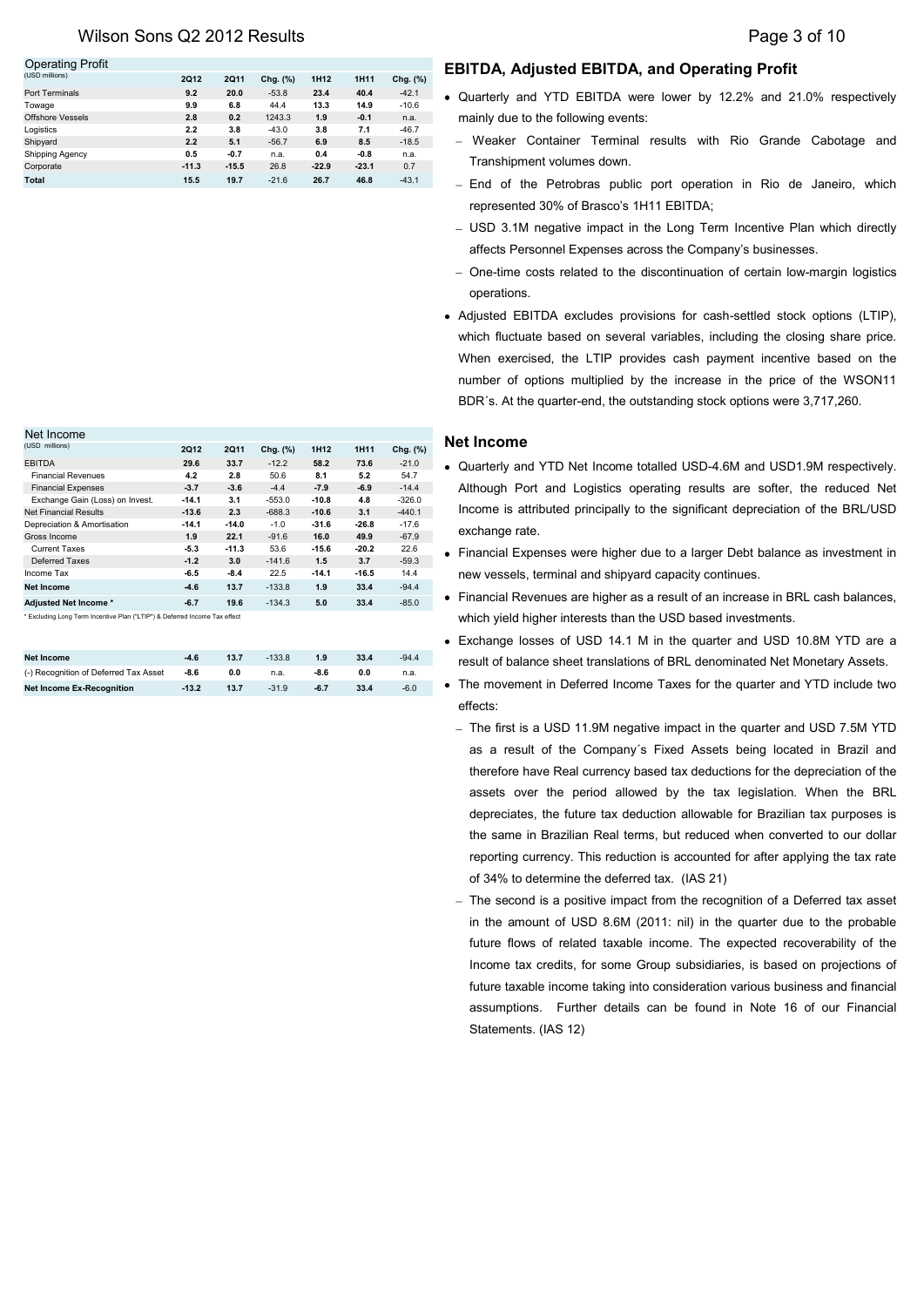## Wilson Sons Q2 2012 Results **Page 3 of 10**

#### Operating Profit

| .                      |         |         |             |                  |         |             |
|------------------------|---------|---------|-------------|------------------|---------|-------------|
| (USD millions)         | 2012    | 2011    | Chg. $(\%)$ | 1H <sub>12</sub> | 1H11    | Chg. $(\%)$ |
| <b>Port Terminals</b>  | 9.2     | 20.0    | $-53.8$     | 23.4             | 40.4    | $-42.1$     |
| Towage                 | 9.9     | 6.8     | 44.4        | 13.3             | 14.9    | $-10.6$     |
| Offshore Vessels       | 2.8     | 0.2     | 1243.3      | 1.9              | $-0.1$  | n.a.        |
| Logistics              | 2.2     | 3.8     | $-43.0$     | 3.8              | 7.1     | $-46.7$     |
| Shipyard               | 2.2     | 5.1     | $-56.7$     | 6.9              | 8.5     | $-18.5$     |
| <b>Shipping Agency</b> | 0.5     | $-0.7$  | n.a.        | 0.4              | $-0.8$  | n.a.        |
| Corporate              | $-11.3$ | $-15.5$ | 26.8        | $-22.9$          | $-23.1$ | 0.7         |
| Total                  | 15.5    | 19.7    | $-21.6$     | 26.7             | 46.8    | $-43.1$     |

## **EBITDA, Adjusted EBITDA, and Operating Profit**

- Quarterly and YTD EBITDA were lower by 12.2% and 21.0% respectively mainly due to the following events:
	- Weaker Container Terminal results with Rio Grande Cabotage and Transhipment volumes down.
	- End of the Petrobras public port operation in Rio de Janeiro, which represented 30% of Brasco's 1H11 EBITDA;
	- USD 3.1M negative impact in the Long Term Incentive Plan which directly affects Personnel Expenses across the Company's businesses.
	- One-time costs related to the discontinuation of certain low-margin logistics operations.
- Adjusted EBITDA excludes provisions for cash-settled stock options (LTIP), which fluctuate based on several variables, including the closing share price. When exercised, the LTIP provides cash payment incentive based on the number of options multiplied by the increase in the price of the WSON11 BDR´s. At the quarter-end, the outstanding stock options were 3,717,260.

## **Net Income**

- Quarterly and YTD Net Income totalled USD-4.6M and USD1.9M respectively. Although Port and Logistics operating results are softer, the reduced Net Income is attributed principally to the significant depreciation of the BRL/USD exchange rate.
- Financial Expenses were higher due to a larger Debt balance as investment in new vessels, terminal and shipyard capacity continues.
- Financial Revenues are higher as a result of an increase in BRL cash balances, which yield higher interests than the USD based investments.
- Exchange losses of USD 14.1 M in the quarter and USD 10.8M YTD are a result of balance sheet translations of BRL denominated Net Monetary Assets.
- The movement in Deferred Income Taxes for the quarter and YTD include two effects:
	- The first is a USD 11.9M negative impact in the quarter and USD 7.5M YTD as a result of the Company´s Fixed Assets being located in Brazil and therefore have Real currency based tax deductions for the depreciation of the assets over the period allowed by the tax legislation. When the BRL depreciates, the future tax deduction allowable for Brazilian tax purposes is the same in Brazilian Real terms, but reduced when converted to our dollar reporting currency. This reduction is accounted for after applying the tax rate of 34% to determine the deferred tax. (IAS 21)
	- The second is a positive impact from the recognition of a Deferred tax asset in the amount of USD 8.6M (2011: nil) in the quarter due to the probable future flows of related taxable income. The expected recoverability of the Income tax credits, for some Group subsidiaries, is based on projections of future taxable income taking into consideration various business and financial assumptions. Further details can be found in Note 16 of our Financial Statements. (IAS 12)

| Net Income                                                                 |         |         |             |                  |         |          |
|----------------------------------------------------------------------------|---------|---------|-------------|------------------|---------|----------|
| (USD millions)                                                             | 2012    | 2011    | Chg. $(\%)$ | 1H <sub>12</sub> | 1H11    | Chg. (%) |
| <b>EBITDA</b>                                                              | 29.6    | 33.7    | $-12.2$     | 58.2             | 73.6    | $-21.0$  |
| <b>Financial Revenues</b>                                                  | 4.2     | 2.8     | 50.6        | 8.1              | 5.2     | 54.7     |
| <b>Financial Expenses</b>                                                  | $-3.7$  | $-3.6$  | $-4.4$      | $-7.9$           | $-6.9$  | $-14.4$  |
| Exchange Gain (Loss) on Invest.                                            | $-14.1$ | 3.1     | $-553.0$    | $-10.8$          | 4.8     | $-326.0$ |
| <b>Net Financial Results</b>                                               | $-13.6$ | 2.3     | $-688.3$    | $-10.6$          | 3.1     | $-440.1$ |
| Depreciation & Amortisation                                                | $-14.1$ | $-14.0$ | $-1.0$      | $-31.6$          | $-26.8$ | $-17.6$  |
| Gross Income                                                               | 1.9     | 22.1    | $-91.6$     | 16.0             | 49.9    | $-67.9$  |
| <b>Current Taxes</b>                                                       | $-5.3$  | $-11.3$ | 53.6        | $-15.6$          | $-20.2$ | 22.6     |
| Deferred Taxes                                                             | $-1.2$  | 3.0     | $-141.6$    | 1.5              | 3.7     | $-59.3$  |
| Income Tax                                                                 | $-6.5$  | $-8.4$  | 22.5        | $-14.1$          | $-16.5$ | 14.4     |
| <b>Net Income</b>                                                          | $-4.6$  | 13.7    | $-133.8$    | 1.9              | 33.4    | $-94.4$  |
| Adjusted Net Income*                                                       | $-6.7$  | 19.6    | $-134.3$    | 5.0              | 33.4    | $-85.0$  |
| * Excluding Long Term Incentive Plan ("LTIP") & Deferred Income Tax effect |         |         |             |                  |         |          |

| <b>Net Income</b>                     | $-4.6$  | 13.7 | $-133.8$ | 1.9    | 33.4 | $-94.4$ |
|---------------------------------------|---------|------|----------|--------|------|---------|
| (-) Recognition of Deferred Tax Asset | $-8.6$  | 0.0  | n.a.     | $-8.6$ | 0.0  | n.a.    |
| <b>Net Income Ex-Recognition</b>      | $-13.2$ | 13.7 | $-31.9$  | $-6.7$ | 33.4 | $-6.0$  |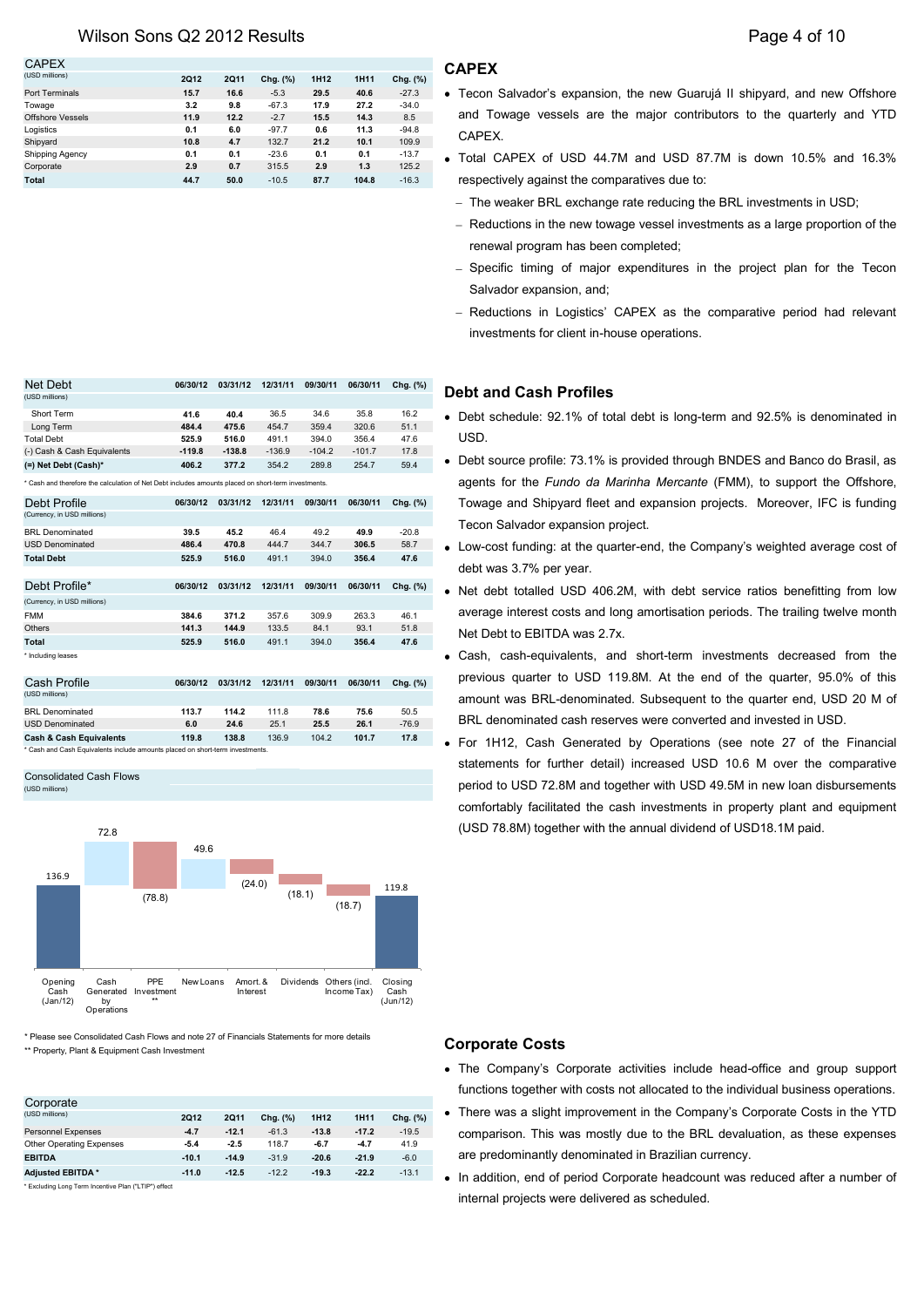## Wilson Sons Q2 2012 Results **Page 4 of 10**

| <b>CAPEX</b>           |      |      |          |                  |       |          |
|------------------------|------|------|----------|------------------|-------|----------|
| (USD millions)         | 2012 | 2011 | Chg. (%) | 1H <sub>12</sub> | 1H11  | Chg. (%) |
| Port Terminals         | 15.7 | 16.6 | $-5.3$   | 29.5             | 40.6  | $-27.3$  |
| Towage                 | 3.2  | 9.8  | $-67.3$  | 17.9             | 27.2  | $-34.0$  |
| Offshore Vessels       | 11.9 | 12.2 | $-2.7$   | 15.5             | 14.3  | 8.5      |
| Logistics              | 0.1  | 6.0  | $-97.7$  | 0.6              | 11.3  | $-94.8$  |
| Shipyard               | 10.8 | 4.7  | 132.7    | 21.2             | 10.1  | 109.9    |
| <b>Shipping Agency</b> | 0.1  | 0.1  | $-23.6$  | 0.1              | 0.1   | $-13.7$  |
| Corporate              | 2.9  | 0.7  | 315.5    | 2.9              | 1.3   | 125.2    |
| Total                  | 44.7 | 50.0 | $-10.5$  | 87.7             | 104.8 | $-16.3$  |

| Short Term                                                                                          | 41.6     | 40.4     | 36.5     | 34.6     | 35.8     | 16.2     |
|-----------------------------------------------------------------------------------------------------|----------|----------|----------|----------|----------|----------|
| Long Term                                                                                           | 484.4    | 475.6    | 454.7    | 359.4    | 320.6    | 51.1     |
| <b>Total Debt</b>                                                                                   | 525.9    | 516.0    | 491.1    | 394.0    | 356.4    | 47.6     |
| (-) Cash & Cash Equivalents                                                                         | $-119.8$ | $-138.8$ | $-136.9$ | $-104.2$ | $-101.7$ | 17.8     |
| (=) Net Debt (Cash)*                                                                                | 406.2    | 377.2    | 354.2    | 289.8    | 254.7    | 59.4     |
| * Cash and therefore the calculation of Net Debt includes amounts placed on short-term investments. |          |          |          |          |          |          |
| Debt Profile                                                                                        | 06/30/12 | 03/31/12 | 12/31/11 | 09/30/11 | 06/30/11 | Chg. (%) |
| (Currency, in USD millions)                                                                         |          |          |          |          |          |          |
| <b>BRL</b> Denominated                                                                              | 39.5     | 45.2     | 46.4     | 49.2     | 49.9     | $-20.8$  |
| <b>USD Denominated</b>                                                                              | 486.4    | 470.8    | 444.7    | 344.7    | 306.5    | 58.7     |
| <b>Total Debt</b>                                                                                   | 525.9    | 516.0    | 491.1    | 394.0    | 356.4    | 47.6     |
|                                                                                                     |          |          |          |          |          |          |
| Debt Profile*                                                                                       | 06/30/12 | 03/31/12 | 12/31/11 | 09/30/11 | 06/30/11 | Chg. (%) |
| (Currency, in USD millions)                                                                         |          |          |          |          |          |          |
| <b>FMM</b>                                                                                          | 384.6    | 371.2    | 357.6    | 309.9    | 263.3    | 46.1     |
| Others                                                                                              | 141.3    | 144.9    | 133.5    | 84.1     | 93.1     | 51.8     |
| <b>Total</b>                                                                                        | 525.9    | 516.0    | 491.1    | 394.0    | 356.4    | 47.6     |
| * Including leases                                                                                  |          |          |          |          |          |          |
|                                                                                                     |          |          |          |          |          |          |
| Cash Profile                                                                                        | 06/30/12 | 03/31/12 | 12/31/11 | 09/30/11 | 06/30/11 | Chg. (%) |
| (USD millions)                                                                                      |          |          |          |          |          |          |
| <b>BRL</b> Denominated                                                                              | 113.7    | 114.2    | 111.8    | 78.6     | 75.6     | 50.5     |
| <b>USD Denominated</b>                                                                              | 6.0      | 24.6     | 25.1     | 25.5     | 26.1     | $-76.9$  |
| <b>Cash &amp; Cash Equivalents</b>                                                                  | 119.8    | 138.8    | 136.9    | 104.2    | 101.7    | 17.8     |

Net Debt **06/30/12 03/31/12 12/31/11 09/30/11 06/30/11 Chg. (%)**

\* Cash and Cash Equivalents include amounts placed on short-term investments. Consolidated Cash Flows

 $(USD<sub>m</sub>)$ 

(USD millions)



\*\* Property, Plant & Equipment Cash Investment

|                                                      |             |         |          |                  |         |          | <b>INTERNATION CONTROLLER</b> WILL COSTS TIOL AIRCRATED TO TH |
|------------------------------------------------------|-------------|---------|----------|------------------|---------|----------|---------------------------------------------------------------|
| Corporate                                            |             |         |          |                  |         |          |                                                               |
| (USD millions)                                       | <b>2Q12</b> | 2011    | Cha. (%) | 1H <sub>12</sub> | 1H11    | Chg. (%) | There was a slight improvement in the Compa                   |
| <b>Personnel Expenses</b>                            | $-4.7$      | $-12.1$ | $-61.3$  | $-13.8$          | $-17.2$ | $-19.5$  | comparison. This was mostly due to the BRL                    |
| Other Operating Expenses                             | $-5.4$      | $-2.5$  | 118.7    | $-6.7$           | $-4.7$  | 41.9     |                                                               |
| <b>EBITDA</b>                                        | $-10.1$     | $-14.9$ | $-31.9$  | $-20.6$          | $-21.9$ | $-6.0$   | are predominantly denominated in Brazilian cu                 |
| <b>Adjusted EBITDA*</b>                              | $-11.0$     | $-12.5$ | $-12.2$  | $-19.3$          | $-22.2$ | $-13.1$  | In addition, end of period Corporate headcour                 |
| * Excluding Long Term Incentive Plan ("LTIP") effect |             |         |          |                  |         |          |                                                               |
|                                                      |             |         |          |                  |         |          | internal projects were delivered as scheduled.                |

- Tecon Salvador's expansion, the new Guarujá II shipyard, and new Offshore and Towage vessels are the major contributors to the quarterly and YTD CAPEX.
- Total CAPEX of USD 44.7M and USD 87.7M is down 10.5% and 16.3% respectively against the comparatives due to:
	- The weaker BRL exchange rate reducing the BRL investments in USD;
	- Reductions in the new towage vessel investments as a large proportion of the renewal program has been completed;
	- Specific timing of major expenditures in the project plan for the Tecon Salvador expansion, and;
	- Reductions in Logistics' CAPEX as the comparative period had relevant investments for client in-house operations.

## **Debt and Cash Profiles**

- Debt schedule: 92.1% of total debt is long-term and 92.5% is denominated in USD.
- Debt source profile: 73.1% is provided through BNDES and Banco do Brasil, as agents for the *Fundo da Marinha Mercante* (FMM), to support the Offshore, Towage and Shipyard fleet and expansion projects. Moreover, IFC is funding Tecon Salvador expansion project.
- Low-cost funding: at the quarter-end, the Company's weighted average cost of debt was 3.7% per year.
- Net debt totalled USD 406.2M, with debt service ratios benefitting from low average interest costs and long amortisation periods. The trailing twelve month Net Debt to EBITDA was 2.7x.
- Cash, cash-equivalents, and short-term investments decreased from the previous quarter to USD 119.8M. At the end of the quarter, 95.0% of this amount was BRL-denominated. Subsequent to the quarter end, USD 20 M of BRL denominated cash reserves were converted and invested in USD.
- For 1H12, Cash Generated by Operations (see note 27 of the Financial statements for further detail) increased USD 10.6 M over the comparative period to USD 72.8M and together with USD 49.5M in new loan disbursements comfortably facilitated the cash investments in property plant and equipment (USD 78.8M) together with the annual dividend of USD18.1M paid.

## **Corporate Costs**

- The Company's Corporate activities include head-office and group support functions together with costs not allocated to the individual business operations.
- There was a slight improvement in the Company's Corporate Costs in the YTD comparison. This was mostly due to the BRL devaluation, as these expenses are predominantly denominated in Brazilian currency.
- In addition, end of period Corporate headcount was reduced after a number of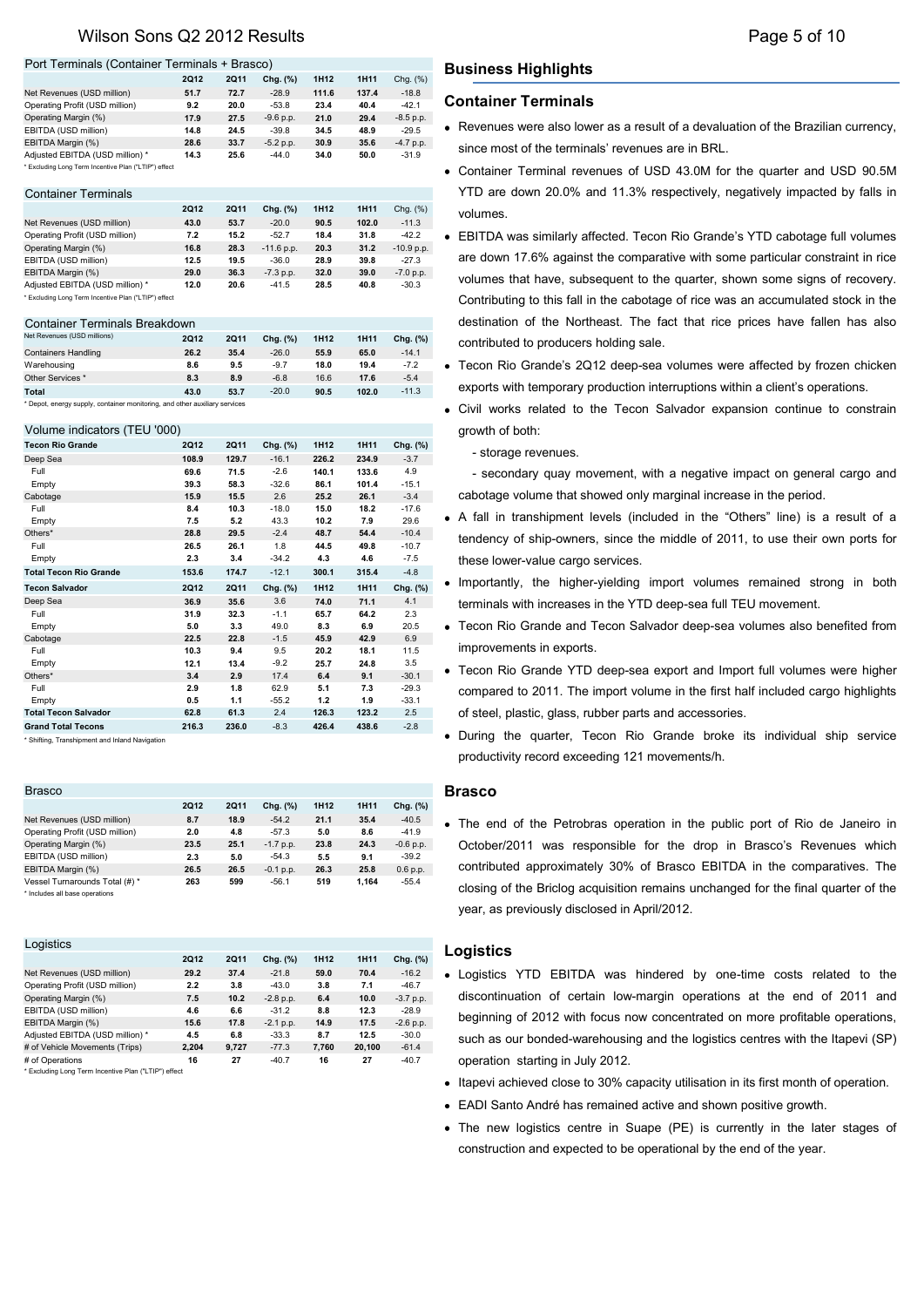## Wilson Sons Q2 2012 Results **Page 5 of 10** and the Page 5 of 10

#### Port Terminals (Container Terminals + Brasco)

|                                                      | <b>2Q12</b> | 2011 | Chg. $(\%)$ | 1H <sub>12</sub> | 1H11  | Chg. (%)    |
|------------------------------------------------------|-------------|------|-------------|------------------|-------|-------------|
| Net Revenues (USD million)                           | 51.7        | 72.7 | $-28.9$     | 111.6            | 137.4 | $-18.8$     |
| Operating Profit (USD million)                       | 9.2         | 20.0 | $-53.8$     | 23.4             | 40.4  | $-42.1$     |
| Operating Margin (%)                                 | 17.9        | 27.5 | $-9.6 p.p.$ | 21.0             | 29.4  | $-8.5 p.p.$ |
| EBITDA (USD million)                                 | 14.8        | 24.5 | $-39.8$     | 34.5             | 48.9  | $-29.5$     |
| EBITDA Margin (%)                                    | 28.6        | 33.7 | $-5.2 p.p.$ | 30.9             | 35.6  | $-4.7 p.p.$ |
| Adjusted EBITDA (USD million) *                      | 14.3        | 25.6 | $-44.0$     | 34.0             | 50.0  | $-31.9$     |
| * Excluding Long Term Incentive Plan ("LTIP") effect |             |      |             |                  |       |             |

#### Container Terminals

|                                                      | <b>2Q12</b> | <b>2Q11</b> | Chg. (%)     | 1H <sub>12</sub> | 1H11  | Chg. (%)     |
|------------------------------------------------------|-------------|-------------|--------------|------------------|-------|--------------|
| Net Revenues (USD million)                           | 43.0        | 53.7        | $-20.0$      | 90.5             | 102.0 | $-11.3$      |
| Operating Profit (USD million)                       | 7.2         | 15.2        | $-52.7$      | 18.4             | 31.8  | $-42.2$      |
| Operating Margin (%)                                 | 16.8        | 28.3        | $-11.6$ p.p. | 20.3             | 31.2  | $-10.9 p.p.$ |
| EBITDA (USD million)                                 | 12.5        | 19.5        | $-36.0$      | 28.9             | 39.8  | $-27.3$      |
| EBITDA Margin (%)                                    | 29.0        | 36.3        | $-7.3$ p.p.  | 32.0             | 39.0  | $-7.0 p.p.$  |
| Adiusted EBITDA (USD million) *                      | 12.0        | 20.6        | $-41.5$      | 28.5             | 40.8  | $-30.3$      |
| * Excluding Long Term Incentive Plan ("LTIP") effect |             |             |              |                  |       |              |

#### Container Terminals Breakdown

| Net Revenues (USD millions)                                                | 2012 | 2Q11 | Chg. (%) | 1H <sub>12</sub> | 1H11  | Chg. (%) |  |  |
|----------------------------------------------------------------------------|------|------|----------|------------------|-------|----------|--|--|
| <b>Containers Handling</b>                                                 | 26.2 | 35.4 | $-26.0$  | 55.9             | 65.0  | $-14.1$  |  |  |
| Warehousing                                                                | 8.6  | 9.5  | $-9.7$   | 18.0             | 19.4  | $-7.2$   |  |  |
| Other Services *                                                           | 8.3  | 8.9  | $-6.8$   | 16.6             | 17.6  | $-5.4$   |  |  |
| Total                                                                      | 43.0 | 53.7 | $-20.0$  | 90.5             | 102.0 | $-11.3$  |  |  |
| * Depot, energy supply, container monitoring, and other auxiliary services |      |      |          |                  |       |          |  |  |

#### Volume indicators (TEU '000)

| <b>Tecon Rio Grande</b>       | <b>2Q12</b> | <b>2Q11</b> | Chg. (%) | 1H12  | 1H11  | Chg. (%) |
|-------------------------------|-------------|-------------|----------|-------|-------|----------|
| Deep Sea                      | 108.9       | 129.7       | $-16.1$  | 226.2 | 234.9 | $-3.7$   |
| Full                          | 69.6        | 71.5        | $-2.6$   | 140.1 | 133.6 | 4.9      |
| Empty                         | 39.3        | 58.3        | $-32.6$  | 86.1  | 101.4 | $-15.1$  |
| Cabotage                      | 15.9        | 15.5        | 2.6      | 25.2  | 26.1  | $-3.4$   |
| Full                          | 8.4         | 10.3        | $-18.0$  | 15.0  | 18.2  | $-17.6$  |
| Empty                         | 7.5         | 5.2         | 43.3     | 10.2  | 7.9   | 29.6     |
| Others*                       | 28.8        | 29.5        | $-2.4$   | 48.7  | 54.4  | $-10.4$  |
| Full                          | 26.5        | 26.1        | 1.8      | 44.5  | 49.8  | $-10.7$  |
| Empty                         | 2.3         | 3.4         | $-34.2$  | 4.3   | 4.6   | $-7.5$   |
| <b>Total Tecon Rio Grande</b> | 153.6       | 174.7       | $-12.1$  | 300.1 | 315.4 | $-4.8$   |
| <b>Tecon Salvador</b>         | <b>2Q12</b> | <b>2Q11</b> | Chg. (%) | 1H12  | 1H11  | Chg. (%) |
| Deep Sea                      | 36.9        | 35.6        | 3.6      | 74.0  | 71.1  | 4.1      |
| Full                          | 31.9        | 32.3        | $-1.1$   | 65.7  | 64.2  | 2.3      |
| Empty                         | 5.0         | 3.3         | 49.0     | 8.3   | 6.9   | 20.5     |
| Cabotage                      | 22.5        | 22.8        | $-1.5$   | 45.9  | 42.9  | 6.9      |
| Full                          | 10.3        | 9.4         | 9.5      | 20.2  | 18.1  | 11.5     |
| Empty                         | 12.1        | 13.4        | $-9.2$   | 25.7  | 24.8  | 3.5      |
| Others*                       | 3.4         | 2.9         | 17.4     | 6.4   | 9.1   | $-30.1$  |
| Full                          | 2.9         | 1.8         | 62.9     | 5.1   | 7.3   | $-29.3$  |
| Empty                         | 0.5         | 1.1         | $-55.2$  | 1.2   | 1.9   | $-33.1$  |
| <b>Total Tecon Salvador</b>   | 62.8        | 61.3        | 2.4      | 126.3 | 123.2 | 2.5      |
| <b>Grand Total Tecons</b>     | 216.3       | 236.0       | $-8.3$   | 426.4 | 438.6 | $-2.8$   |

\* Shifting, Transhipment and Inland Navigation

| <b>Brasco</b>                  |             |      |             |                  |       |             |
|--------------------------------|-------------|------|-------------|------------------|-------|-------------|
|                                | <b>2Q12</b> | 2011 | Chg. (%)    | 1H <sub>12</sub> | 1H11  | Chg. (%)    |
| Net Revenues (USD million)     | 8.7         | 18.9 | $-54.2$     | 21.1             | 35.4  | $-40.5$     |
| Operating Profit (USD million) | 2.0         | 4.8  | $-57.3$     | 5.0              | 8.6   | $-41.9$     |
| Operating Margin (%)           | 23.5        | 25.1 | $-1.7$ p.p. | 23.8             | 24.3  | $-0.6 p.p.$ |
| EBITDA (USD million)           | 2.3         | 5.0  | $-54.3$     | 5.5              | 9.1   | $-39.2$     |
| EBITDA Margin (%)              | 26.5        | 26.5 | $-0.1$ p.p. | 26.3             | 25.8  | 0.6 p.p.    |
| Vessel Turnarounds Total (#) * | 263         | 599  | $-56.1$     | 519              | 1.164 | $-55.4$     |
| * Includes all base operations |             |      |             |                  |       |             |

| Logistics                       |       |       |             |                  |             |             |
|---------------------------------|-------|-------|-------------|------------------|-------------|-------------|
|                                 | 2012  | 2011  | Chg. (%)    | 1H <sub>12</sub> | <b>1H11</b> | Chg. (%)    |
| Net Revenues (USD million)      | 29.2  | 37.4  | $-21.8$     | 59.0             | 70.4        | $-16.2$     |
| Operating Profit (USD million)  | 2.2   | 3.8   | $-43.0$     | 3.8              | 7.1         | $-46.7$     |
| Operating Margin (%)            | 7.5   | 10.2  | $-2.8$ p.p. | 6.4              | 10.0        | $-3.7 p.p.$ |
| EBITDA (USD million)            | 4.6   | 6.6   | $-31.2$     | 8.8              | 12.3        | $-28.9$     |
| EBITDA Margin (%)               | 15.6  | 17.8  | $-2.1$ p.p. | 14.9             | 17.5        | $-2.6$ p.p. |
| Adjusted EBITDA (USD million) * | 4.5   | 6.8   | $-33.3$     | 8.7              | 12.5        | $-30.0$     |
| # of Vehicle Movements (Trips)  | 2.204 | 9.727 | $-77.3$     | 7.760            | 20.100      | $-61.4$     |
| # of Operations                 | 16    | 27    | $-40.7$     | 16               | 27          | $-40.7$     |
|                                 |       |       |             |                  |             |             |

Excluding Long Term Incentive Plan ("LTIP") effec

## **Business Highlights**

#### **Container Terminals**

- Revenues were also lower as a result of a devaluation of the Brazilian currency, since most of the terminals' revenues are in BRL.
- Container Terminal revenues of USD 43.0M for the quarter and USD 90.5M YTD are down 20.0% and 11.3% respectively, negatively impacted by falls in volumes.
- EBITDA was similarly affected. Tecon Rio Grande's YTD cabotage full volumes are down 17.6% against the comparative with some particular constraint in rice volumes that have, subsequent to the quarter, shown some signs of recovery. Contributing to this fall in the cabotage of rice was an accumulated stock in the destination of the Northeast. The fact that rice prices have fallen has also contributed to producers holding sale.
- Tecon Rio Grande's 2Q12 deep-sea volumes were affected by frozen chicken exports with temporary production interruptions within a client's operations.
- Civil works related to the Tecon Salvador expansion continue to constrain growth of both:
	- storage revenues.

- secondary quay movement, with a negative impact on general cargo and cabotage volume that showed only marginal increase in the period.

- A fall in transhipment levels (included in the "Others" line) is a result of a tendency of ship-owners, since the middle of 2011, to use their own ports for these lower-value cargo services.
- Importantly, the higher-yielding import volumes remained strong in both terminals with increases in the YTD deep-sea full TEU movement.
- Tecon Rio Grande and Tecon Salvador deep-sea volumes also benefited from improvements in exports.
- Tecon Rio Grande YTD deep-sea export and Import full volumes were higher compared to 2011. The import volume in the first half included cargo highlights of steel, plastic, glass, rubber parts and accessories.
- During the quarter, Tecon Rio Grande broke its individual ship service productivity record exceeding 121 movements/h.

## **Brasco**

The end of the Petrobras operation in the public port of Rio de Janeiro in October/2011 was responsible for the drop in Brasco's Revenues which contributed approximately 30% of Brasco EBITDA in the comparatives. The closing of the Briclog acquisition remains unchanged for the final quarter of the year, as previously disclosed in April/2012.

### **Logistics**

- Logistics YTD EBITDA was hindered by one-time costs related to the discontinuation of certain low-margin operations at the end of 2011 and beginning of 2012 with focus now concentrated on more profitable operations, such as our bonded-warehousing and the logistics centres with the Itapevi (SP) operation starting in July 2012.
- Itapevi achieved close to 30% capacity utilisation in its first month of operation.
- EADI Santo André has remained active and shown positive growth.
- The new logistics centre in Suape (PE) is currently in the later stages of construction and expected to be operational by the end of the year.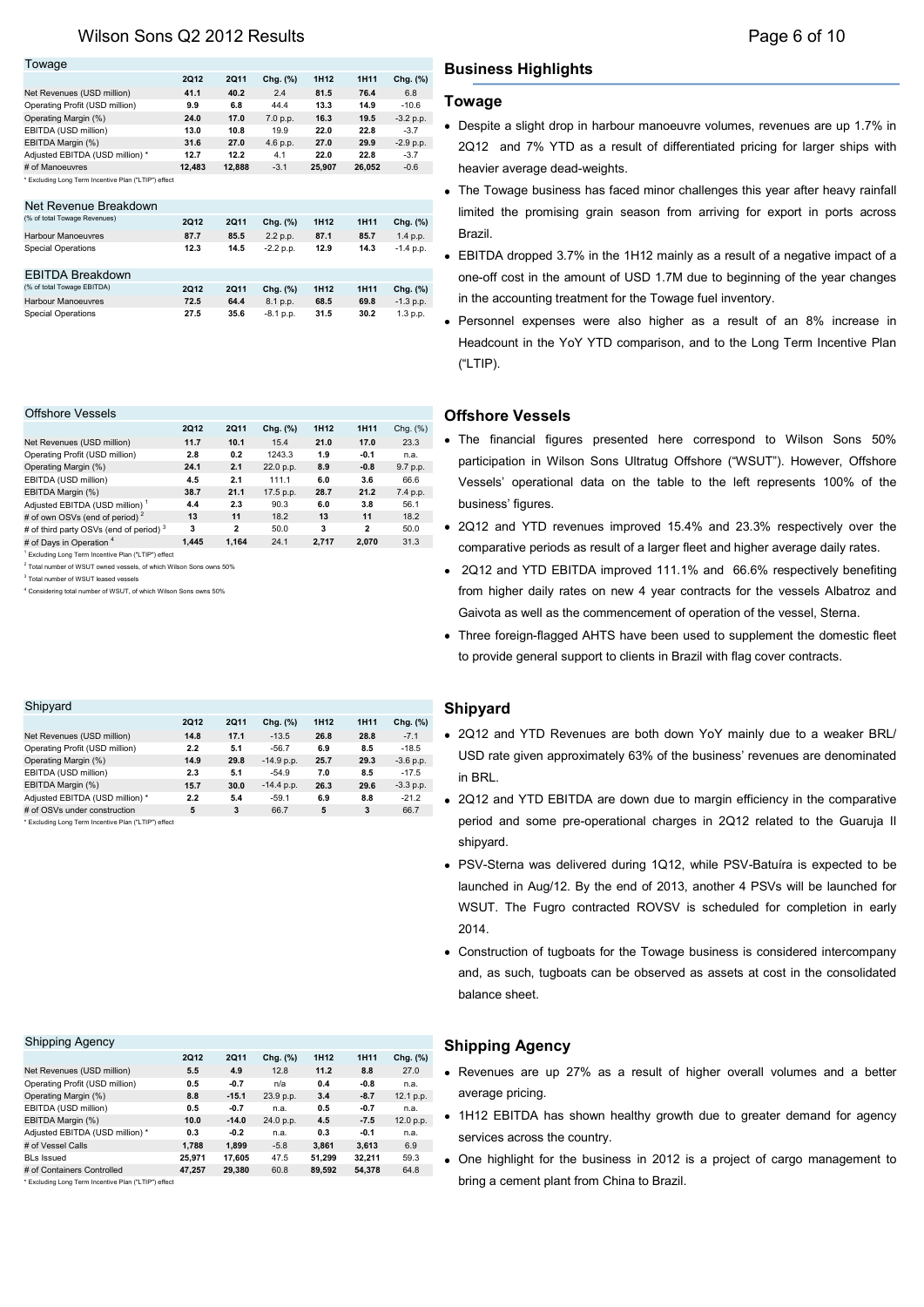| Towage                                               |        |        |          |                  |             |             |
|------------------------------------------------------|--------|--------|----------|------------------|-------------|-------------|
|                                                      | 2012   | 2011   | Chg. (%) | 1H <sub>12</sub> | <b>1H11</b> | Chg. (%)    |
| Net Revenues (USD million)                           | 41.1   | 40.2   | 2.4      | 81.5             | 76.4        | 6.8         |
| Operating Profit (USD million)                       | 9.9    | 6.8    | 44.4     | 13.3             | 14.9        | $-10.6$     |
| Operating Margin (%)                                 | 24.0   | 17.0   | 7.0 p.p. | 16.3             | 19.5        | $-3.2 p.p.$ |
| EBITDA (USD million)                                 | 13.0   | 10.8   | 19.9     | 22.0             | 22.8        | $-3.7$      |
| EBITDA Margin (%)                                    | 31.6   | 27.0   | 4.6 p.p. | 27.0             | 29.9        | $-2.9 p.p.$ |
| Adjusted EBITDA (USD million) *                      | 12.7   | 12.2   | 4.1      | 22.0             | 22.8        | $-3.7$      |
| # of Manoeuvres                                      | 12.483 | 12.888 | $-3.1$   | 25.907           | 26.052      | $-0.6$      |
| * Excluding Long Term Incentive Plan ("LTIP") effect |        |        |          |                  |             |             |

| Net Revenue Breakdown        |      |      |             |                  |             |             |
|------------------------------|------|------|-------------|------------------|-------------|-------------|
| (% of total Towage Revenues) | 2012 | 2Q11 | Chg. (%)    | 1H <sub>12</sub> | <b>1H11</b> | Chg. (%)    |
| <b>Harbour Manoeuvres</b>    | 87.7 | 85.5 | 2.2 p.p.    | 87.1             | 85.7        | 1.4 p.p.    |
| <b>Special Operations</b>    | 12.3 | 14.5 | $-2.2$ p.p. | 12.9             | 14.3        | $-1.4 p.p.$ |
| <b>EBITDA Breakdown</b>      |      |      |             |                  |             |             |
| (% of total Towage EBITDA)   | 2012 | 2011 | Chg. (%)    | 1H <sub>12</sub> | <b>1H11</b> | Chg. (%)    |
| Harbour Manoeuvres           | 72.5 | 64.4 | 8.1 p.p.    | 68.5             | 69.8        | $-1.3 p.p.$ |
| <b>Special Operations</b>    | 27.5 | 35.6 | $-8.1$ p.p. | 31.5             | 30.2        | 1.3 p.p.    |

#### Offshore Vessels

|                                                    | <b>2Q12</b> | 2Q11         | Chg. (%)  | 1H <sub>12</sub> | <b>1H11</b>  | Chg. (%) |
|----------------------------------------------------|-------------|--------------|-----------|------------------|--------------|----------|
| Net Revenues (USD million)                         | 11.7        | 10.1         | 15.4      | 21.0             | 17.0         | 23.3     |
| Operating Profit (USD million)                     | 2.8         | 0.2          | 1243.3    | 1.9              | $-0.1$       | n.a.     |
| Operating Margin (%)                               | 24.1        | 2.1          | 22.0 p.p. | 8.9              | $-0.8$       | 9.7 p.p. |
| EBITDA (USD million)                               | 4.5         | 2.1          | 111.1     | 6.0              | 3.6          | 66.6     |
| EBITDA Margin (%)                                  | 38.7        | 21.1         | 17.5 p.p. | 28.7             | 21.2         | 7.4 p.p. |
| Adjusted EBITDA (USD million) <sup>1</sup>         | 4.4         | 2.3          | 90.3      | 6.0              | 3.8          | 56.1     |
| # of own OSVs (end of period) <sup>2</sup>         | 13          | 11           | 18.2      | 13               | 11           | 18.2     |
| # of third party OSVs (end of period) <sup>3</sup> | 3           | $\mathbf{2}$ | 50.0      | 3                | $\mathbf{2}$ | 50.0     |
| # of Days in Operation 4                           | 1.445       | 1.164        | 24.1      | 2.717            | 2.070        | 31.3     |

1 .<br>ding Long Term Incentive Plan ("LTIP") effect

2 Total number of WSUT owned vessels, of which Wilson Sons owns 50%

3 Total number of WSUT leased vessels

4 Considering total number of WSUT, of which Wilson Sons owns 50%

| Shipyard                                             |             |      |              |                  |      |             |
|------------------------------------------------------|-------------|------|--------------|------------------|------|-------------|
|                                                      | <b>2Q12</b> | 2011 | Chg. (%)     | 1H <sub>12</sub> | 1H11 | Chg. (%)    |
| Net Revenues (USD million)                           | 14.8        | 17.1 | $-13.5$      | 26.8             | 28.8 | $-7.1$      |
| Operating Profit (USD million)                       | 2.2         | 5.1  | $-56.7$      | 6.9              | 8.5  | $-18.5$     |
| Operating Margin (%)                                 | 14.9        | 29.8 | $-14.9 p.p.$ | 25.7             | 29.3 | $-3.6$ p.p. |
| EBITDA (USD million)                                 | 2.3         | 5.1  | $-54.9$      | 7.0              | 8.5  | $-17.5$     |
| EBITDA Margin (%)                                    | 15.7        | 30.0 | $-14.4 p.p.$ | 26.3             | 29.6 | $-3.3$ p.p. |
| Adjusted EBITDA (USD million) *                      | 2.2         | 5.4  | $-59.1$      | 6.9              | 8.8  | $-21.2$     |
| # of OSVs under construction                         | 5           | 3    | 66.7         | 5                | 3    | 66.7        |
| * Excluding Long Term Incentive Plan ("LTIP") effect |             |      |              |                  |      |             |

#### Shipping Agency **2Q12 2Q11 Chg. (%) 1H12 1H11 Chg. (%)** Net Revenues (USD million) **5.5 4.9** 12.8 **11.2 8.8** 27.0 Operating Profit (USD million) **0.5 -0.7** n/a **0.4 -0.8** n.a. Operating Margin (%) **8.8 -15.1** 23.9 p.p. **3.4 -8.7** 12.1 p.p. EBITDA (USD million) **0.5 -0.7** n.a. **0.5 -0.7** n.a. EBITDA Margin (%) **10.0 -14.0** 24.0 p.p. **4.5 -7.5** 12.0 p.p. Adjusted EBITDA (USD million) \* **0.3 -0.2** n.a. **0.3 -0.1** n.a. # of Vessel Calls **1,788 1,899** -5.8 **3,861 3,613** 6.9 BLs Issued **25,971 17,605** 47.5 **51,299 32,211** 59.3 # of Containers Controlled **47,257 29,380** 60.8 **89,592 54,378** 64.8

\* Excluding Long Term Incentive Plan ("LTIP") effect

## **Business Highlights**

## **Towage**

- Despite a slight drop in harbour manoeuvre volumes, revenues are up 1.7% in 2Q12 and 7% YTD as a result of differentiated pricing for larger ships with heavier average dead-weights.
- The Towage business has faced minor challenges this year after heavy rainfall limited the promising grain season from arriving for export in ports across Brazil.
- EBITDA dropped 3.7% in the 1H12 mainly as a result of a negative impact of a one-off cost in the amount of USD 1.7M due to beginning of the year changes in the accounting treatment for the Towage fuel inventory.
- Personnel expenses were also higher as a result of an 8% increase in Headcount in the YoY YTD comparison, and to the Long Term Incentive Plan ("LTIP).

## **Offshore Vessels**

- The financial figures presented here correspond to Wilson Sons 50% participation in Wilson Sons Ultratug Offshore ("WSUT"). However, Offshore Vessels' operational data on the table to the left represents 100% of the business' figures.
- 2Q12 and YTD revenues improved 15.4% and 23.3% respectively over the comparative periods as result of a larger fleet and higher average daily rates.
- 2Q12 and YTD EBITDA improved 111.1% and 66.6% respectively benefiting from higher daily rates on new 4 year contracts for the vessels Albatroz and Gaivota as well as the commencement of operation of the vessel, Sterna.
- Three foreign-flagged AHTS have been used to supplement the domestic fleet to provide general support to clients in Brazil with flag cover contracts.

## **Shipyard**

- 2Q12 and YTD Revenues are both down YoY mainly due to a weaker BRL/ USD rate given approximately 63% of the business' revenues are denominated in BRL.
- 2Q12 and YTD EBITDA are down due to margin efficiency in the comparative period and some pre-operational charges in 2Q12 related to the Guaruja II shipyard.
- PSV-Sterna was delivered during 1Q12, while PSV-Batuíra is expected to be launched in Aug/12. By the end of 2013, another 4 PSVs will be launched for WSUT. The Fugro contracted ROVSV is scheduled for completion in early 2014.
- Construction of tugboats for the Towage business is considered intercompany and, as such, tugboats can be observed as assets at cost in the consolidated balance sheet.

## **Shipping Agency**

- Revenues are up 27% as a result of higher overall volumes and a better average pricing.
- 1H12 EBITDA has shown healthy growth due to greater demand for agency services across the country.
- One highlight for the business in 2012 is a project of cargo management to bring a cement plant from China to Brazil.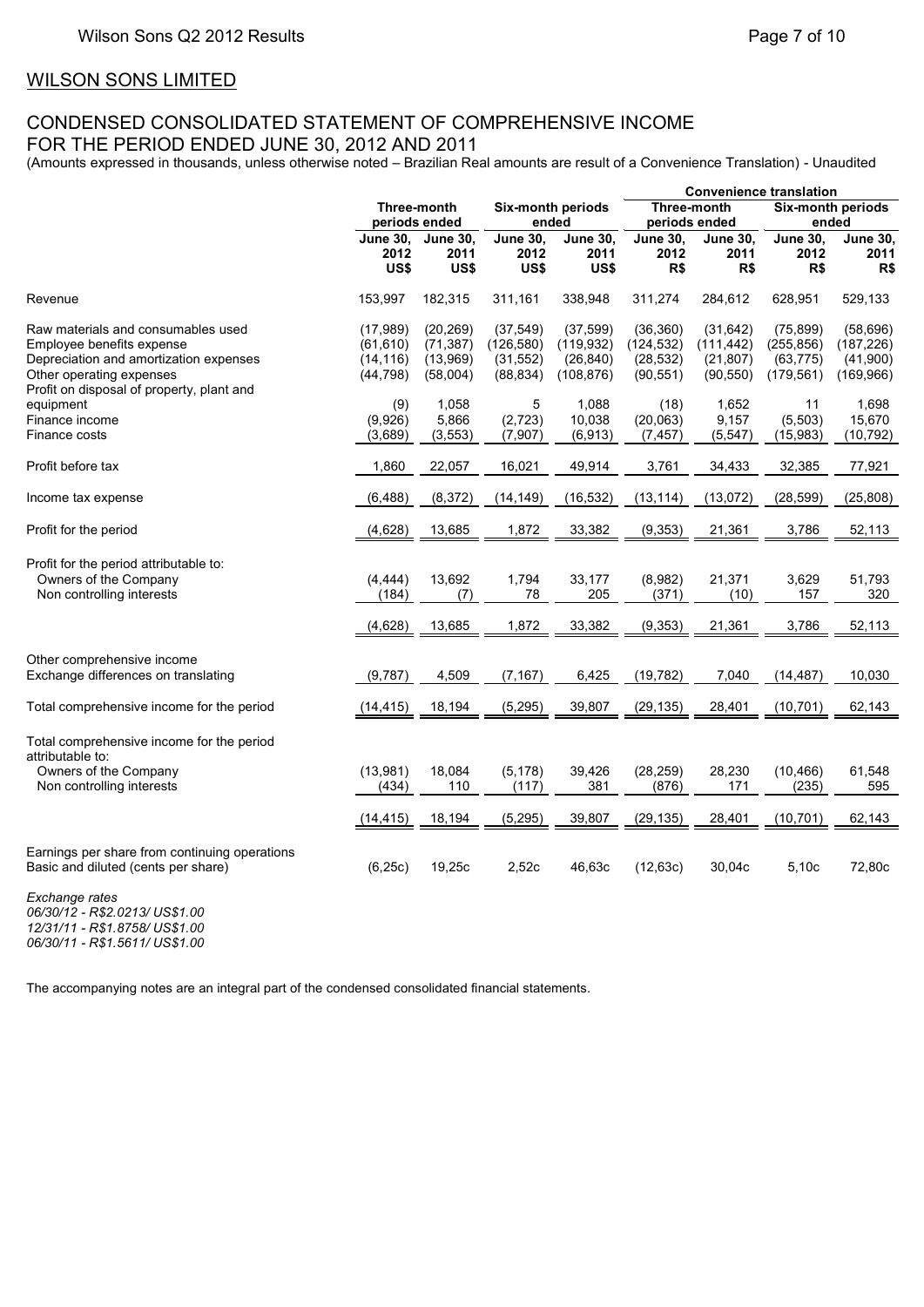# WILSON SONS LIMITED **For the period ended June 30, 2012 and 2011**

## CONDENSED CONSOLIDATED STATEMENT OF COMPREHENSIVE INCOME FOR THE PERIOD ENDED JUNE 30, 2012 AND 2011

(Amounts expressed in thousands, unless otherwise noted – Brazilian Real amounts are result of a Convenience Translation) - Unaudited

|                                                                                                                                                                                    |                                                  |                                                |                                                   |                                                    | <b>Convenience translation</b>                    |                                                   |                                                    |                                                   |
|------------------------------------------------------------------------------------------------------------------------------------------------------------------------------------|--------------------------------------------------|------------------------------------------------|---------------------------------------------------|----------------------------------------------------|---------------------------------------------------|---------------------------------------------------|----------------------------------------------------|---------------------------------------------------|
|                                                                                                                                                                                    |                                                  | Three-month<br>periods ended                   |                                                   | Six-month periods<br>ended                         |                                                   | Three-month<br>periods ended                      |                                                    | Six-month periods<br>ended                        |
|                                                                                                                                                                                    | <b>June 30,</b><br>2012<br>US\$                  | <b>June 30,</b><br>2011<br>US\$                | <b>June 30,</b><br>2012<br>US\$                   | <b>June 30,</b><br>2011<br>US\$                    | <b>June 30,</b><br>2012<br>R\$                    | <b>June 30,</b><br>2011<br>R\$                    | <b>June 30,</b><br>2012<br>R\$                     | <b>June 30,</b><br>2011<br>R\$                    |
| Revenue                                                                                                                                                                            | 153,997                                          | 182,315                                        | 311,161                                           | 338,948                                            | 311,274                                           | 284,612                                           | 628,951                                            | 529,133                                           |
| Raw materials and consumables used<br>Employee benefits expense<br>Depreciation and amortization expenses<br>Other operating expenses<br>Profit on disposal of property, plant and | (17, 989)<br>(61, 610)<br>(14, 116)<br>(44, 798) | (20, 269)<br>(71, 387)<br>(13,969)<br>(58,004) | (37, 549)<br>(126, 580)<br>(31, 552)<br>(88, 834) | (37, 599)<br>(119, 932)<br>(26, 840)<br>(108, 876) | (36, 360)<br>(124, 532)<br>(28, 532)<br>(90, 551) | (31, 642)<br>(111, 442)<br>(21, 807)<br>(90, 550) | (75, 899)<br>(255, 856)<br>(63, 775)<br>(179, 561) | (58, 696)<br>(187, 226)<br>(41,900)<br>(169, 966) |
| equipment<br>Finance income<br>Finance costs                                                                                                                                       | (9)<br>(9,926)<br>(3,689)                        | 1,058<br>5,866<br>(3, 553)                     | 5<br>(2, 723)<br>(7, 907)                         | 1,088<br>10,038<br>(6.913)                         | (18)<br>(20,063)<br>(7, 457)                      | 1,652<br>9,157<br>(5, 547)                        | 11<br>(5, 503)<br>(15, 983)                        | 1,698<br>15,670<br>(10, 792)                      |
| Profit before tax                                                                                                                                                                  | 1,860                                            | 22,057                                         | 16,021                                            | 49,914                                             | 3,761                                             | 34,433                                            | 32,385                                             | 77,921                                            |
| Income tax expense                                                                                                                                                                 | (6, 488)                                         | (8, 372)                                       | (14, 149)                                         | (16, 532)                                          | (13, 114)                                         | (13,072)                                          | (28, 599)                                          | (25, 808)                                         |
| Profit for the period                                                                                                                                                              | (4,628)                                          | 13,685                                         | 1,872                                             | 33,382                                             | (9, 353)                                          | 21,361                                            | 3,786                                              | 52,113                                            |
| Profit for the period attributable to:<br>Owners of the Company<br>Non controlling interests                                                                                       | (4, 444)<br>(184)                                | 13,692<br>(7)                                  | 1,794<br>78                                       | 33,177<br>205                                      | (8,982)<br>(371)                                  | 21,371<br>(10)                                    | 3,629<br>157                                       | 51,793<br>320                                     |
|                                                                                                                                                                                    | (4,628)                                          | 13,685                                         | 1,872                                             | 33,382                                             | (9, 353)                                          | 21,361                                            | 3,786                                              | 52,113                                            |
| Other comprehensive income<br>Exchange differences on translating                                                                                                                  | (9,787)                                          | 4,509                                          | (7, 167)                                          | 6,425                                              | (19, 782)                                         | 7,040                                             | (14, 487)                                          | 10,030                                            |
| Total comprehensive income for the period                                                                                                                                          | (14, 415)                                        | 18,194                                         | (5, 295)                                          | 39,807                                             | (29, 135)                                         | 28,401                                            | (10, 701)                                          | 62,143                                            |
| Total comprehensive income for the period<br>attributable to:<br>Owners of the Company<br>Non controlling interests                                                                | (13,981)<br>(434)                                | 18,084<br>110                                  | (5, 178)<br>(117)                                 | 39,426<br>381                                      | (28, 259)<br>(876)                                | 28,230<br>171                                     | (10, 466)<br>(235)                                 | 61,548<br>595                                     |
|                                                                                                                                                                                    | (14, 415)                                        | 18,194                                         | (5, 295)                                          | 39,807                                             | (29, 135)                                         | 28,401                                            | (10, 701)                                          | 62,143                                            |
| Earnings per share from continuing operations<br>Basic and diluted (cents per share)                                                                                               | (6, 25c)                                         | 19,25c                                         | 2,52c                                             | 46,63c                                             | (12, 63c)                                         | 30,04c                                            | 5,10c                                              | 72,80c                                            |
| Exchange rates                                                                                                                                                                     |                                                  |                                                |                                                   |                                                    |                                                   |                                                   |                                                    |                                                   |

*06/30/12 - R\$2.0213/ US\$1.00 12/31/11 - R\$1.8758/ US\$1.00 06/30/11 - R\$1.5611/ US\$1.00*

The accompanying notes are an integral part of the condensed consolidated financial statements.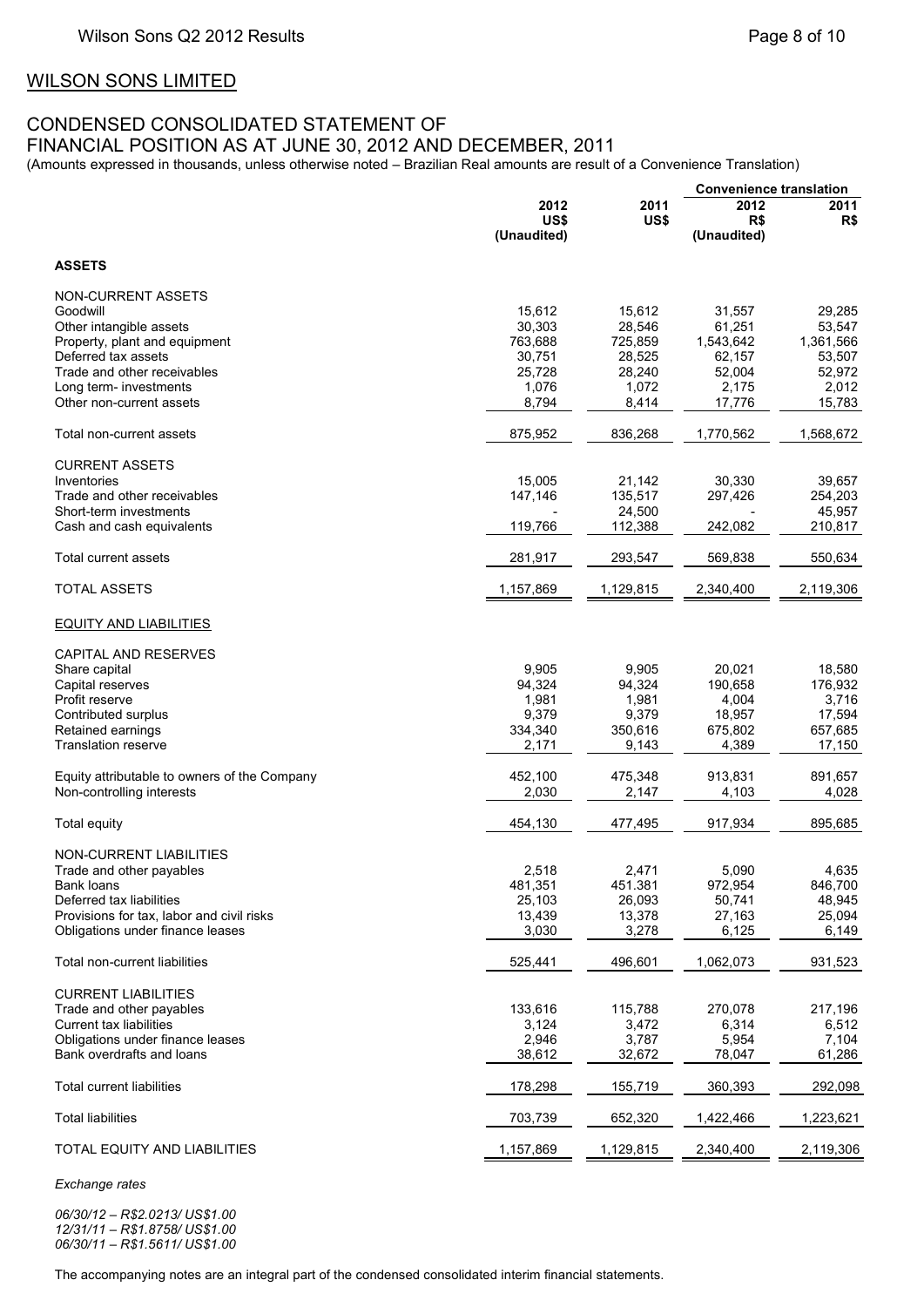## WILSON SONS LIMITED

## CONDENSED CONSOLIDATED STATEMENT OF

FINANCIAL POSITION AS AT JUNE 30, 2012 AND DECEMBER, 2011

(Amounts expressed in thousands, unless otherwise noted – Brazilian Real amounts are result of a Convenience Translation)

|                                                          |                     |                   |                     | <b>Convenience translation</b> |  |  |
|----------------------------------------------------------|---------------------|-------------------|---------------------|--------------------------------|--|--|
|                                                          | 2012<br>2011        |                   | 2012                | 2011                           |  |  |
|                                                          | US\$<br>(Unaudited) | US\$              | R\$<br>(Unaudited)  | R\$                            |  |  |
| <b>ASSETS</b>                                            |                     |                   |                     |                                |  |  |
|                                                          |                     |                   |                     |                                |  |  |
| <b>NON-CURRENT ASSETS</b>                                |                     |                   |                     |                                |  |  |
| Goodwill                                                 | 15,612              | 15,612            | 31,557              | 29,285                         |  |  |
| Other intangible assets<br>Property, plant and equipment | 30,303<br>763,688   | 28,546<br>725,859 | 61,251<br>1,543,642 | 53,547<br>1,361,566            |  |  |
| Deferred tax assets                                      | 30,751              | 28,525            | 62,157              | 53,507                         |  |  |
| Trade and other receivables                              | 25.728              | 28,240            | 52,004              | 52,972                         |  |  |
| Long term- investments                                   | 1,076               | 1,072             | 2,175               | 2,012                          |  |  |
| Other non-current assets                                 | 8,794               | 8,414             | 17,776              | 15,783                         |  |  |
| Total non-current assets                                 | 875,952             | 836,268           | 1,770,562           | 1,568,672                      |  |  |
| <b>CURRENT ASSETS</b>                                    |                     |                   |                     |                                |  |  |
| Inventories                                              | 15,005              | 21,142            | 30,330              | 39,657                         |  |  |
| Trade and other receivables                              | 147,146             | 135,517           | 297,426             | 254,203                        |  |  |
| Short-term investments                                   |                     | 24,500            |                     | 45,957                         |  |  |
| Cash and cash equivalents                                | 119,766             | 112,388           | 242,082             | 210,817                        |  |  |
| Total current assets                                     | 281,917             | 293,547           | 569,838             | 550,634                        |  |  |
| <b>TOTAL ASSETS</b>                                      | 1,157,869           | 1,129,815         | 2,340,400           | 2,119,306                      |  |  |
| <b>EQUITY AND LIABILITIES</b>                            |                     |                   |                     |                                |  |  |
| CAPITAL AND RESERVES                                     |                     |                   |                     |                                |  |  |
| Share capital                                            | 9,905               | 9,905             | 20,021              | 18,580                         |  |  |
| Capital reserves                                         | 94,324              | 94,324            | 190,658             | 176,932                        |  |  |
| Profit reserve                                           | 1,981               | 1,981             | 4,004               | 3,716                          |  |  |
| Contributed surplus                                      | 9,379               | 9,379             | 18,957              | 17,594                         |  |  |
| Retained earnings                                        | 334,340             | 350,616           | 675,802             | 657,685                        |  |  |
| <b>Translation reserve</b>                               | 2,171               | 9,143             | 4,389               | 17,150                         |  |  |
| Equity attributable to owners of the Company             | 452,100             | 475,348           | 913,831             | 891,657                        |  |  |
| Non-controlling interests                                | 2,030               | 2,147             | 4,103               | 4,028                          |  |  |
|                                                          |                     |                   |                     |                                |  |  |
| Total equity                                             | 454,130             | 477,495           | 917,934             | 895,685                        |  |  |
| <b>NON-CURRENT LIABILITIES</b>                           |                     |                   |                     |                                |  |  |
| Trade and other payables                                 | 2,518               | 2,471             | 5,090               | 4,635                          |  |  |
| Bank loans                                               | 481,351             | 451.381           | 972,954             | 846,700                        |  |  |
| Deferred tax liabilities                                 | 25,103              | 26,093            | 50,741              | 48,945                         |  |  |
| Provisions for tax, labor and civil risks                | 13,439              | 13,378            | 27,163              | 25,094                         |  |  |
| Obligations under finance leases                         | 3,030               | 3,278             | 6,125               | 6,149                          |  |  |
| Total non-current liabilities                            | 525,441             | 496,601           | 1,062,073           | 931,523                        |  |  |
| <b>CURRENT LIABILITIES</b>                               |                     |                   |                     |                                |  |  |
| Trade and other payables                                 | 133,616             | 115,788           | 270,078             | 217,196                        |  |  |
| <b>Current tax liabilities</b>                           | 3,124               | 3,472             | 6,314               | 6,512                          |  |  |
| Obligations under finance leases                         | 2,946               | 3,787             | 5,954               | 7,104                          |  |  |
| Bank overdrafts and loans                                | 38,612              | 32,672            | 78,047              | 61,286                         |  |  |
| <b>Total current liabilities</b>                         | 178,298             | 155,719           | 360,393             | 292,098                        |  |  |
| <b>Total liabilities</b>                                 | 703,739             | 652,320           | 1,422,466           | 1,223,621                      |  |  |
| TOTAL EQUITY AND LIABILITIES                             | 1,157,869           | 1,129,815         | 2,340,400           | 2,119,306                      |  |  |

*Exchange rates*

*06/30/12 – R\$2.0213/ US\$1.00 12/31/11 – R\$1.8758/ US\$1.00 06/30/11 – R\$1.5611/ US\$1.00*

The accompanying notes are an integral part of the condensed consolidated interim financial statements.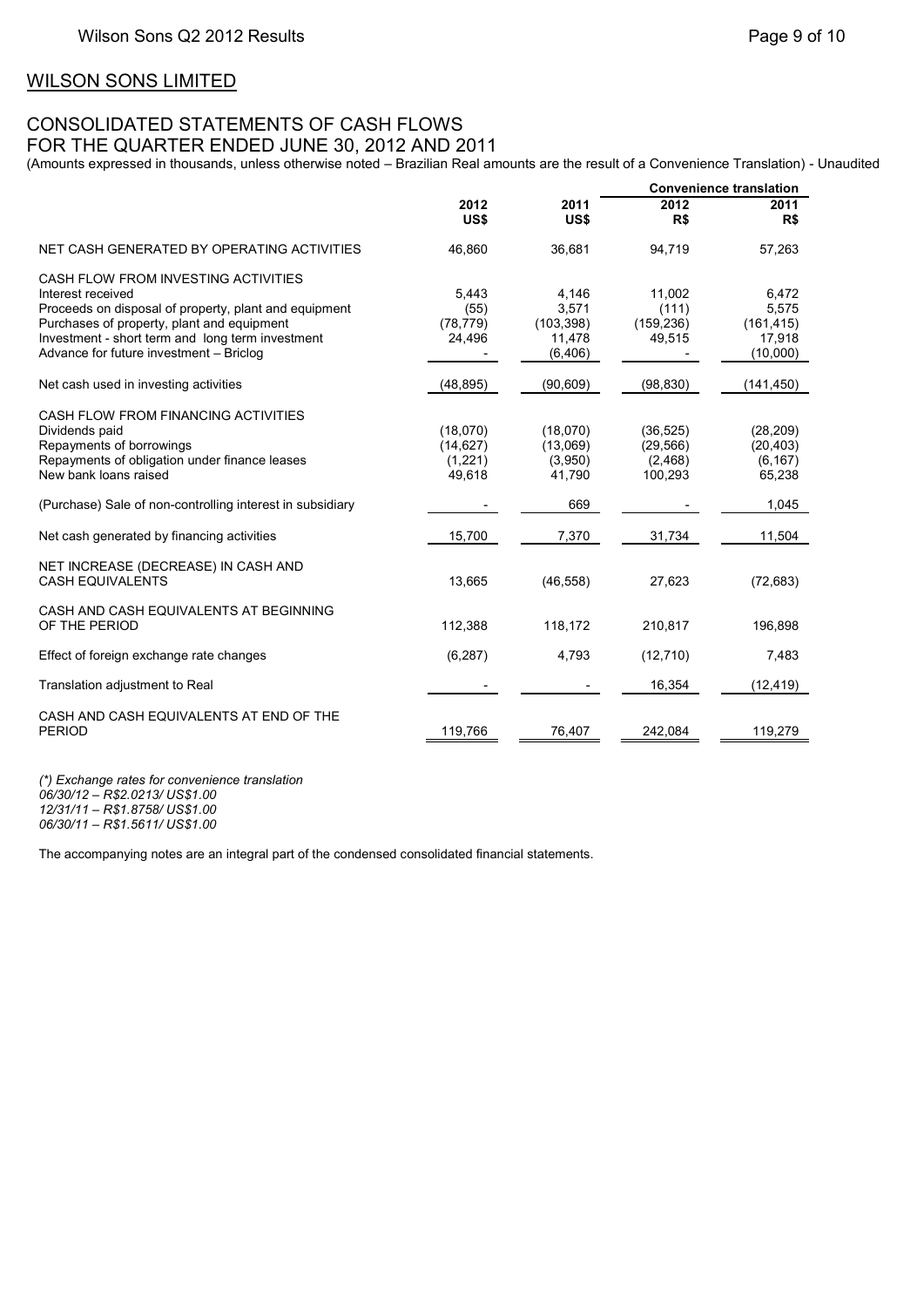## WILSON SONS LIMITED

## CONSOLIDATED STATEMENTS OF CASH FLOWS FOR THE QUARTER ENDED JUNE 30, 2012 AND 2011

(Amounts expressed in thousands, unless otherwise noted – Brazilian Real amounts are the result of a Convenience Translation) - Unaudited

|                                                                                                                                                                                                                                                                |                                            |                                                    |                                              | <b>Convenience translation</b>                     |
|----------------------------------------------------------------------------------------------------------------------------------------------------------------------------------------------------------------------------------------------------------------|--------------------------------------------|----------------------------------------------------|----------------------------------------------|----------------------------------------------------|
|                                                                                                                                                                                                                                                                | 2012<br>US\$                               | 2011<br>US\$                                       | 2012<br>R\$                                  | 2011<br>R\$                                        |
| NET CASH GENERATED BY OPERATING ACTIVITIES                                                                                                                                                                                                                     | 46,860                                     | 36,681                                             | 94,719                                       | 57,263                                             |
| CASH FLOW FROM INVESTING ACTIVITIES<br>Interest received<br>Proceeds on disposal of property, plant and equipment<br>Purchases of property, plant and equipment<br>Investment - short term and long term investment<br>Advance for future investment - Briclog | 5,443<br>(55)<br>(78, 779)<br>24,496       | 4,146<br>3,571<br>(103, 398)<br>11,478<br>(6, 406) | 11,002<br>(111)<br>(159, 236)<br>49,515      | 6,472<br>5,575<br>(161, 415)<br>17,918<br>(10,000) |
| Net cash used in investing activities                                                                                                                                                                                                                          | (48, 895)                                  | (90, 609)                                          | (98, 830)                                    | (141, 450)                                         |
| CASH FLOW FROM FINANCING ACTIVITIES<br>Dividends paid<br>Repayments of borrowings<br>Repayments of obligation under finance leases<br>New bank loans raised                                                                                                    | (18,070)<br>(14, 627)<br>(1,221)<br>49,618 | (18,070)<br>(13,069)<br>(3,950)<br>41,790          | (36, 525)<br>(29, 566)<br>(2,468)<br>100,293 | (28, 209)<br>(20, 403)<br>(6, 167)<br>65,238       |
| (Purchase) Sale of non-controlling interest in subsidiary                                                                                                                                                                                                      |                                            | 669                                                |                                              | 1,045                                              |
| Net cash generated by financing activities                                                                                                                                                                                                                     | 15,700                                     | 7,370                                              | 31,734                                       | 11,504                                             |
| NET INCREASE (DECREASE) IN CASH AND<br><b>CASH EQUIVALENTS</b>                                                                                                                                                                                                 | 13,665                                     | (46, 558)                                          | 27,623                                       | (72, 683)                                          |
| CASH AND CASH EQUIVALENTS AT BEGINNING<br>OF THE PERIOD                                                                                                                                                                                                        | 112,388                                    | 118,172                                            | 210,817                                      | 196,898                                            |
| Effect of foreign exchange rate changes                                                                                                                                                                                                                        | (6, 287)                                   | 4,793                                              | (12, 710)                                    | 7,483                                              |
| Translation adjustment to Real                                                                                                                                                                                                                                 |                                            |                                                    | 16,354                                       | (12, 419)                                          |
| CASH AND CASH EQUIVALENTS AT END OF THE<br><b>PERIOD</b>                                                                                                                                                                                                       | 119.766                                    | 76.407                                             | 242.084                                      | 119,279                                            |

*(\*) Exchange rates for convenience translation 06/30/12 – R\$2.0213/ US\$1.00 12/31/11 – R\$1.8758/ US\$1.00 06/30/11 – R\$1.5611/ US\$1.00*

The accompanying notes are an integral part of the condensed consolidated financial statements.